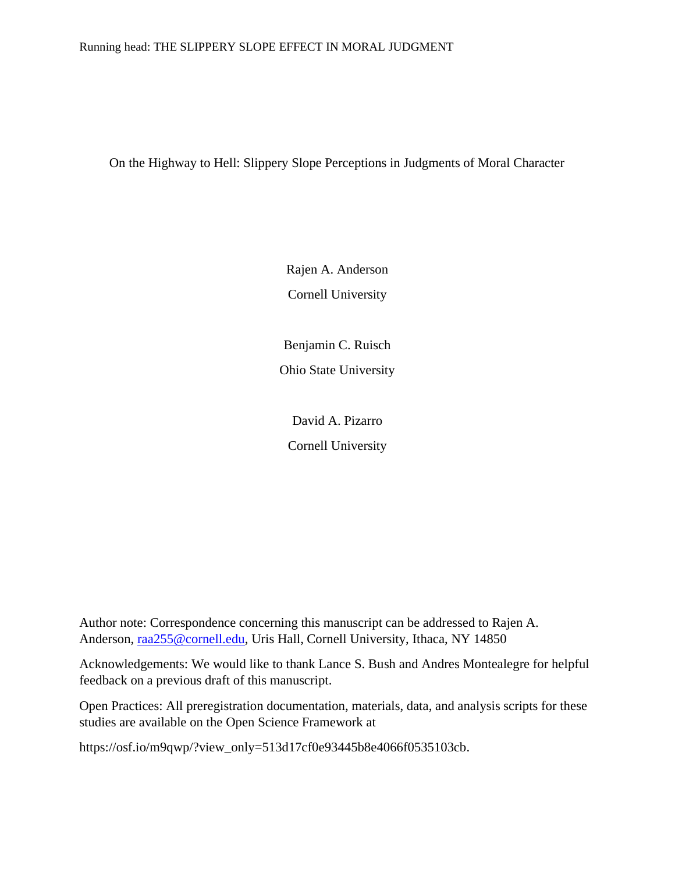# Running head: THE SLIPPERY SLOPE EFFECT IN MORAL JUDGMENT

On the Highway to Hell: Slippery Slope Perceptions in Judgments of Moral Character

Rajen A. Anderson Cornell University

Benjamin C. Ruisch Ohio State University

David A. Pizarro Cornell University

Author note: Correspondence concerning this manuscript can be addressed to Rajen A. Anderson, [raa255@cornell.edu,](mailto:raa255@cornell.edu) Uris Hall, Cornell University, Ithaca, NY 14850

Acknowledgements: We would like to thank Lance S. Bush and Andres Montealegre for helpful feedback on a previous draft of this manuscript.

Open Practices: All preregistration documentation, materials, data, and analysis scripts for these studies are available on the Open Science Framework at

https://osf.io/m9qwp/?view\_only=513d17cf0e93445b8e4066f0535103cb.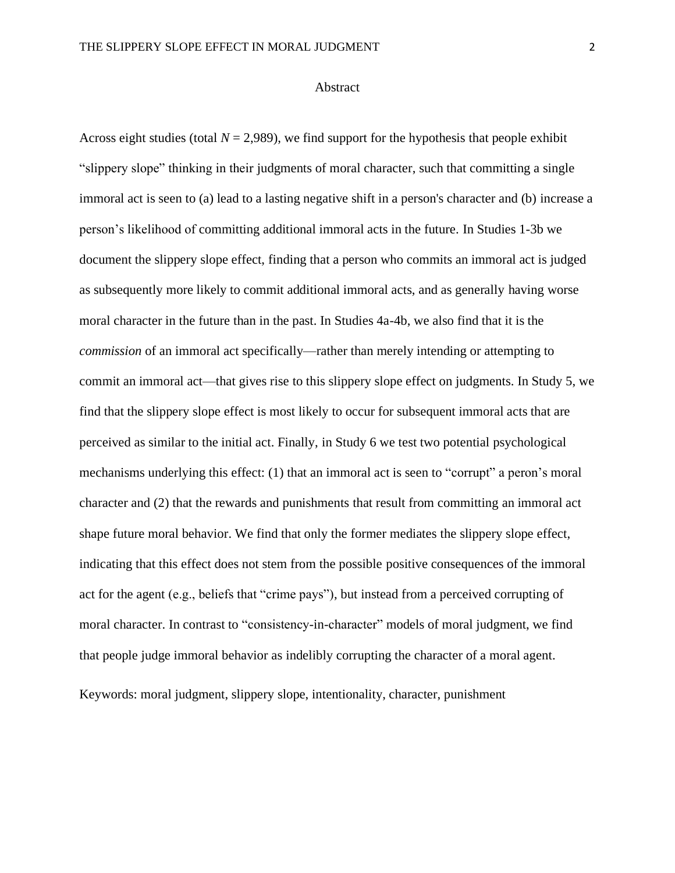# Abstract

Across eight studies (total  $N = 2,989$ ), we find support for the hypothesis that people exhibit "slippery slope" thinking in their judgments of moral character, such that committing a single immoral act is seen to (a) lead to a lasting negative shift in a person's character and (b) increase a person's likelihood of committing additional immoral acts in the future. In Studies 1-3b we document the slippery slope effect, finding that a person who commits an immoral act is judged as subsequently more likely to commit additional immoral acts, and as generally having worse moral character in the future than in the past. In Studies 4a-4b, we also find that it is the *commission* of an immoral act specifically—rather than merely intending or attempting to commit an immoral act—that gives rise to this slippery slope effect on judgments. In Study 5, we find that the slippery slope effect is most likely to occur for subsequent immoral acts that are perceived as similar to the initial act. Finally, in Study 6 we test two potential psychological mechanisms underlying this effect: (1) that an immoral act is seen to "corrupt" a peron's moral character and (2) that the rewards and punishments that result from committing an immoral act shape future moral behavior. We find that only the former mediates the slippery slope effect, indicating that this effect does not stem from the possible positive consequences of the immoral act for the agent (e.g., beliefs that "crime pays"), but instead from a perceived corrupting of moral character. In contrast to "consistency-in-character" models of moral judgment, we find that people judge immoral behavior as indelibly corrupting the character of a moral agent.

Keywords: moral judgment, slippery slope, intentionality, character, punishment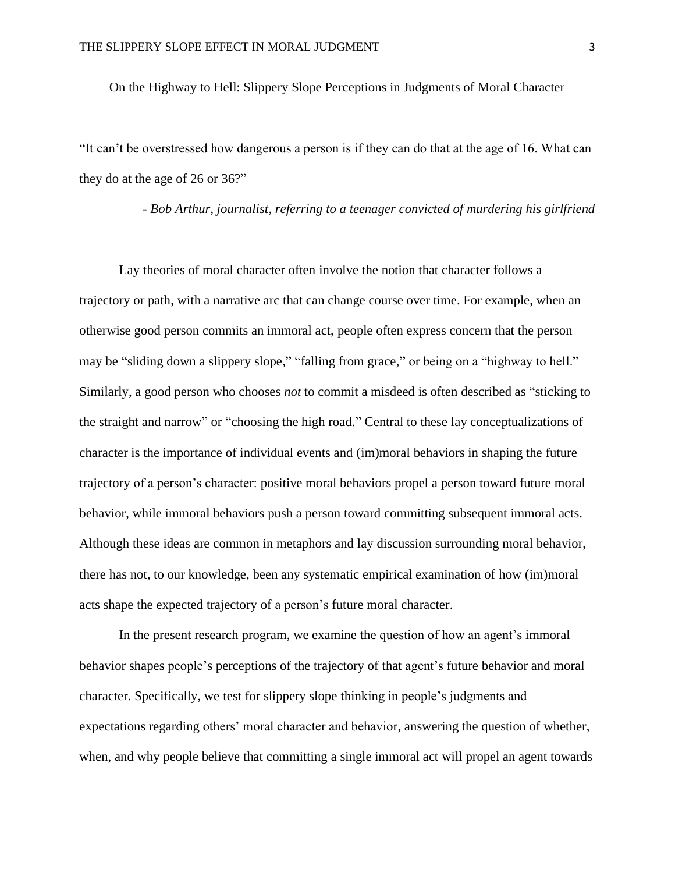On the Highway to Hell: Slippery Slope Perceptions in Judgments of Moral Character

"It can't be overstressed how dangerous a person is if they can do that at the age of 16. What can they do at the age of 26 or 36?"

- *Bob Arthur, journalist, referring to a teenager convicted of murdering his girlfriend*

Lay theories of moral character often involve the notion that character follows a trajectory or path, with a narrative arc that can change course over time. For example, when an otherwise good person commits an immoral act, people often express concern that the person may be "sliding down a slippery slope," "falling from grace," or being on a "highway to hell." Similarly, a good person who chooses *not* to commit a misdeed is often described as "sticking to the straight and narrow" or "choosing the high road." Central to these lay conceptualizations of character is the importance of individual events and (im)moral behaviors in shaping the future trajectory of a person's character: positive moral behaviors propel a person toward future moral behavior, while immoral behaviors push a person toward committing subsequent immoral acts. Although these ideas are common in metaphors and lay discussion surrounding moral behavior, there has not, to our knowledge, been any systematic empirical examination of how (im)moral acts shape the expected trajectory of a person's future moral character.

In the present research program, we examine the question of how an agent's immoral behavior shapes people's perceptions of the trajectory of that agent's future behavior and moral character. Specifically, we test for slippery slope thinking in people's judgments and expectations regarding others' moral character and behavior, answering the question of whether, when, and why people believe that committing a single immoral act will propel an agent towards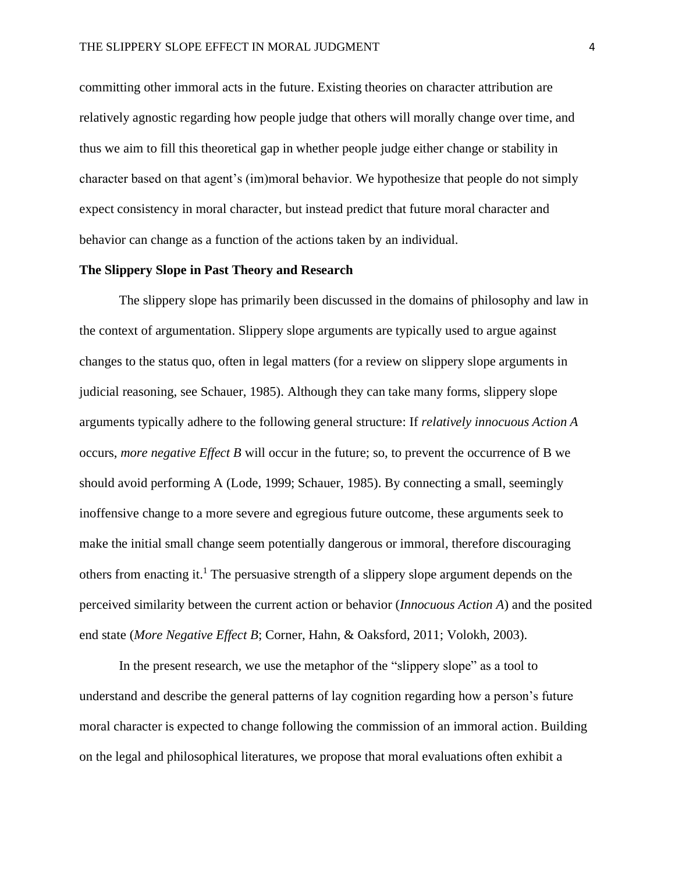committing other immoral acts in the future. Existing theories on character attribution are relatively agnostic regarding how people judge that others will morally change over time, and thus we aim to fill this theoretical gap in whether people judge either change or stability in character based on that agent's (im)moral behavior. We hypothesize that people do not simply expect consistency in moral character, but instead predict that future moral character and behavior can change as a function of the actions taken by an individual.

# **The Slippery Slope in Past Theory and Research**

The slippery slope has primarily been discussed in the domains of philosophy and law in the context of argumentation. Slippery slope arguments are typically used to argue against changes to the status quo, often in legal matters (for a review on slippery slope arguments in judicial reasoning, see Schauer, 1985). Although they can take many forms, slippery slope arguments typically adhere to the following general structure: If *relatively innocuous Action A* occurs, *more negative Effect B* will occur in the future; so, to prevent the occurrence of B we should avoid performing A (Lode, 1999; Schauer, 1985). By connecting a small, seemingly inoffensive change to a more severe and egregious future outcome, these arguments seek to make the initial small change seem potentially dangerous or immoral, therefore discouraging others from enacting it. <sup>1</sup> The persuasive strength of a slippery slope argument depends on the perceived similarity between the current action or behavior (*Innocuous Action A*) and the posited end state (*More Negative Effect B*; Corner, Hahn, & Oaksford, 2011; Volokh, 2003).

In the present research, we use the metaphor of the "slippery slope" as a tool to understand and describe the general patterns of lay cognition regarding how a person's future moral character is expected to change following the commission of an immoral action. Building on the legal and philosophical literatures, we propose that moral evaluations often exhibit a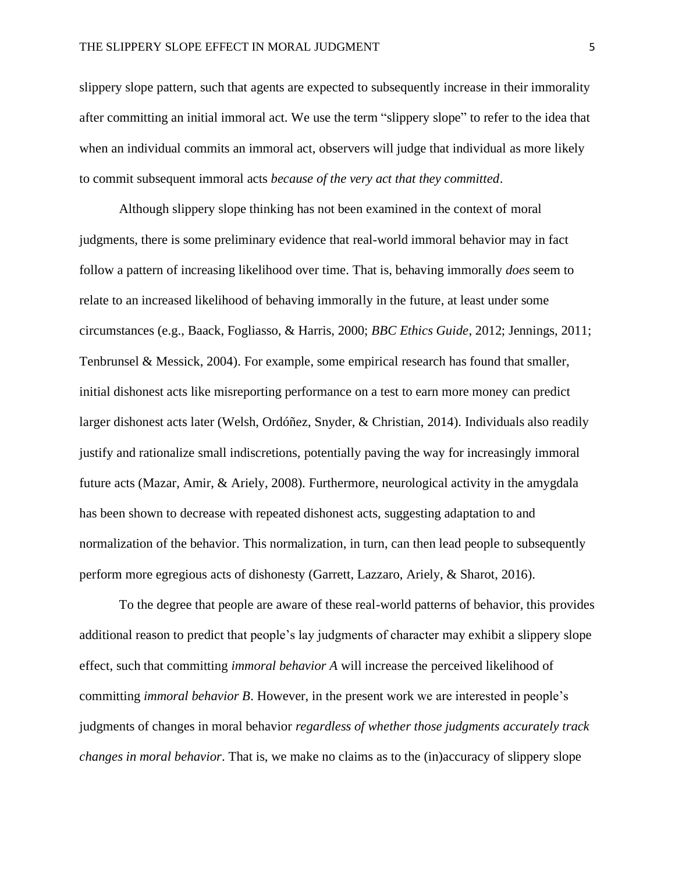slippery slope pattern, such that agents are expected to subsequently increase in their immorality after committing an initial immoral act. We use the term "slippery slope" to refer to the idea that when an individual commits an immoral act, observers will judge that individual as more likely to commit subsequent immoral acts *because of the very act that they committed*.

Although slippery slope thinking has not been examined in the context of moral judgments, there is some preliminary evidence that real-world immoral behavior may in fact follow a pattern of increasing likelihood over time. That is, behaving immorally *does* seem to relate to an increased likelihood of behaving immorally in the future, at least under some circumstances (e.g., Baack, Fogliasso, & Harris, 2000; *BBC Ethics Guide*, 2012; Jennings, 2011; Tenbrunsel & Messick, 2004). For example, some empirical research has found that smaller, initial dishonest acts like misreporting performance on a test to earn more money can predict larger dishonest acts later (Welsh, Ordóñez, Snyder, & Christian, 2014). Individuals also readily justify and rationalize small indiscretions, potentially paving the way for increasingly immoral future acts (Mazar, Amir, & Ariely, 2008). Furthermore, neurological activity in the amygdala has been shown to decrease with repeated dishonest acts, suggesting adaptation to and normalization of the behavior. This normalization, in turn, can then lead people to subsequently perform more egregious acts of dishonesty (Garrett, Lazzaro, Ariely, & Sharot, 2016).

To the degree that people are aware of these real-world patterns of behavior, this provides additional reason to predict that people's lay judgments of character may exhibit a slippery slope effect, such that committing *immoral behavior A* will increase the perceived likelihood of committing *immoral behavior B*. However, in the present work we are interested in people's judgments of changes in moral behavior *regardless of whether those judgments accurately track changes in moral behavior*. That is, we make no claims as to the (in)accuracy of slippery slope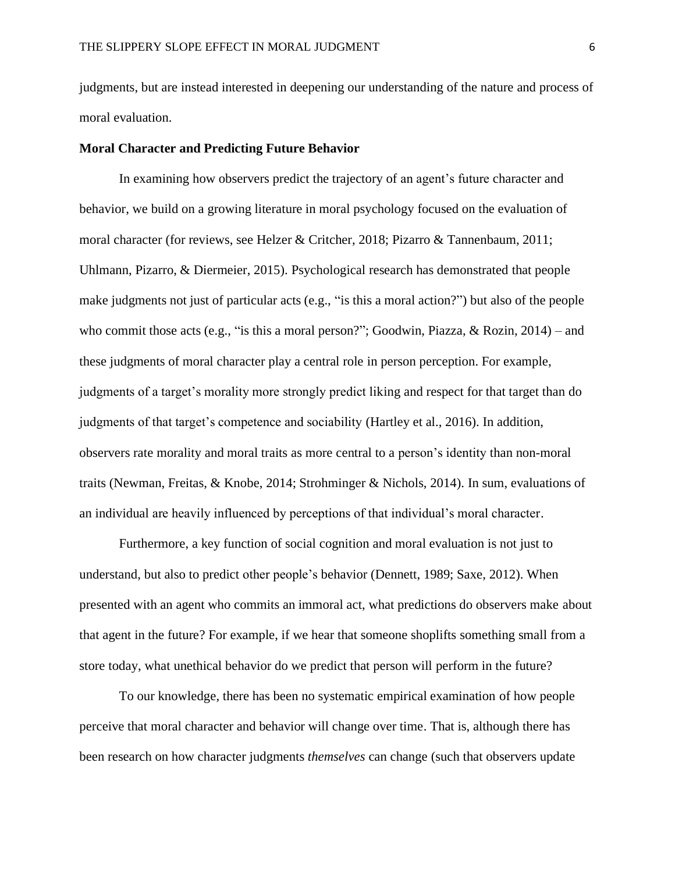judgments, but are instead interested in deepening our understanding of the nature and process of moral evaluation.

## **Moral Character and Predicting Future Behavior**

In examining how observers predict the trajectory of an agent's future character and behavior, we build on a growing literature in moral psychology focused on the evaluation of moral character (for reviews, see Helzer & Critcher, 2018; Pizarro & Tannenbaum, 2011; Uhlmann, Pizarro, & Diermeier, 2015). Psychological research has demonstrated that people make judgments not just of particular acts (e.g., "is this a moral action?") but also of the people who commit those acts (e.g., "is this a moral person?"; Goodwin, Piazza, & Rozin, 2014) – and these judgments of moral character play a central role in person perception. For example, judgments of a target's morality more strongly predict liking and respect for that target than do judgments of that target's competence and sociability (Hartley et al., 2016). In addition, observers rate morality and moral traits as more central to a person's identity than non-moral traits (Newman, Freitas, & Knobe, 2014; Strohminger & Nichols, 2014). In sum, evaluations of an individual are heavily influenced by perceptions of that individual's moral character.

Furthermore, a key function of social cognition and moral evaluation is not just to understand, but also to predict other people's behavior (Dennett, 1989; Saxe, 2012). When presented with an agent who commits an immoral act, what predictions do observers make about that agent in the future? For example, if we hear that someone shoplifts something small from a store today, what unethical behavior do we predict that person will perform in the future?

To our knowledge, there has been no systematic empirical examination of how people perceive that moral character and behavior will change over time. That is, although there has been research on how character judgments *themselves* can change (such that observers update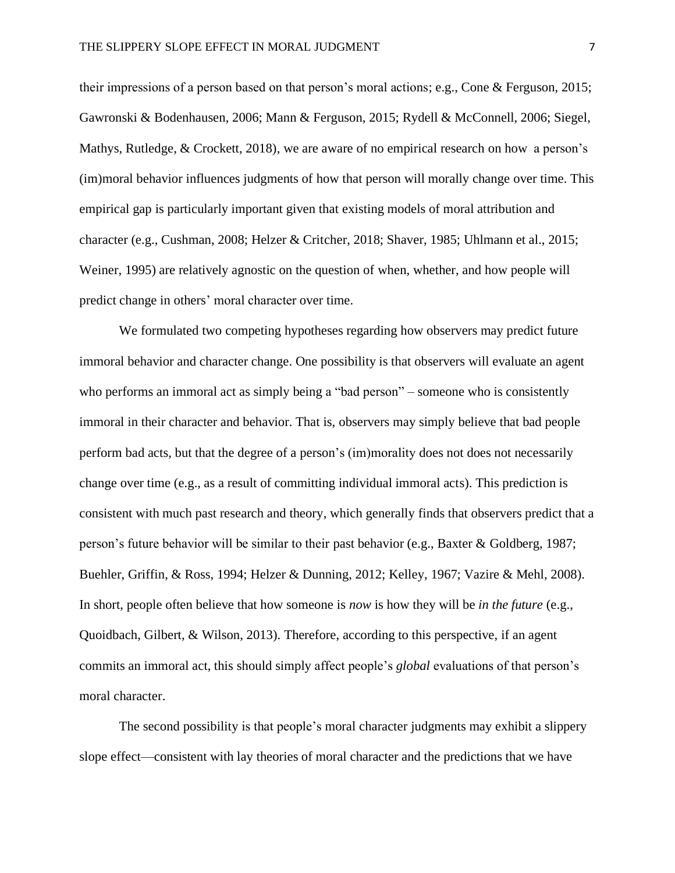their impressions of a person based on that person's moral actions; e.g., Cone & Ferguson, 2015; Gawronski & Bodenhausen, 2006; Mann & Ferguson, 2015; Rydell & McConnell, 2006; Siegel, Mathys, Rutledge, & Crockett, 2018), we are aware of no empirical research on how a person's (im)moral behavior influences judgments of how that person will morally change over time. This empirical gap is particularly important given that existing models of moral attribution and character (e.g., Cushman, 2008; Helzer & Critcher, 2018; Shaver, 1985; Uhlmann et al., 2015; Weiner, 1995) are relatively agnostic on the question of when, whether, and how people will predict change in others' moral character over time.

We formulated two competing hypotheses regarding how observers may predict future immoral behavior and character change. One possibility is that observers will evaluate an agent who performs an immoral act as simply being a "bad person" – someone who is consistently immoral in their character and behavior. That is, observers may simply believe that bad people perform bad acts, but that the degree of a person's (im)morality does not does not necessarily change over time (e.g., as a result of committing individual immoral acts). This prediction is consistent with much past research and theory, which generally finds that observers predict that a person's future behavior will be similar to their past behavior (e.g., Baxter & Goldberg, 1987; Buehler, Griffin, & Ross, 1994; Helzer & Dunning, 2012; Kelley, 1967; Vazire & Mehl, 2008). In short, people often believe that how someone is *now* is how they will be *in the future* (e.g., Quoidbach, Gilbert, & Wilson, 2013). Therefore, according to this perspective, if an agent commits an immoral act, this should simply affect people's *global* evaluations of that person's moral character.

The second possibility is that people's moral character judgments may exhibit a slippery slope effect—consistent with lay theories of moral character and the predictions that we have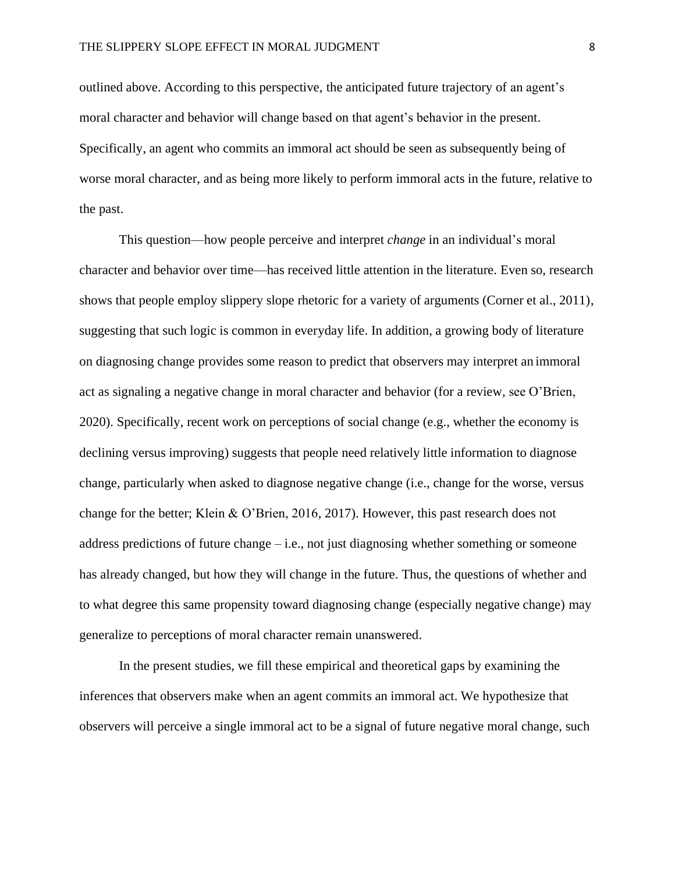outlined above. According to this perspective, the anticipated future trajectory of an agent's moral character and behavior will change based on that agent's behavior in the present. Specifically, an agent who commits an immoral act should be seen as subsequently being of worse moral character, and as being more likely to perform immoral acts in the future, relative to the past.

This question—how people perceive and interpret *change* in an individual's moral character and behavior over time—has received little attention in the literature. Even so, research shows that people employ slippery slope rhetoric for a variety of arguments (Corner et al., 2011), suggesting that such logic is common in everyday life. In addition, a growing body of literature on diagnosing change provides some reason to predict that observers may interpret an immoral act as signaling a negative change in moral character and behavior (for a review, see O'Brien, 2020). Specifically, recent work on perceptions of social change (e.g., whether the economy is declining versus improving) suggests that people need relatively little information to diagnose change, particularly when asked to diagnose negative change (i.e., change for the worse, versus change for the better; Klein & O'Brien, 2016, 2017). However, this past research does not address predictions of future change – i.e., not just diagnosing whether something or someone has already changed, but how they will change in the future. Thus, the questions of whether and to what degree this same propensity toward diagnosing change (especially negative change) may generalize to perceptions of moral character remain unanswered.

In the present studies, we fill these empirical and theoretical gaps by examining the inferences that observers make when an agent commits an immoral act. We hypothesize that observers will perceive a single immoral act to be a signal of future negative moral change, such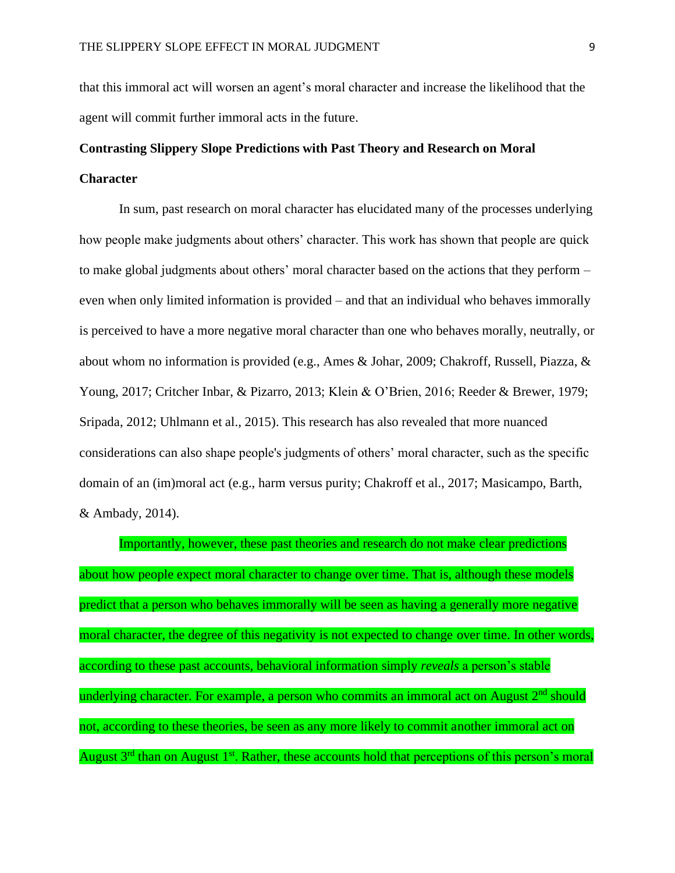that this immoral act will worsen an agent's moral character and increase the likelihood that the agent will commit further immoral acts in the future.

# **Contrasting Slippery Slope Predictions with Past Theory and Research on Moral Character**

In sum, past research on moral character has elucidated many of the processes underlying how people make judgments about others' character. This work has shown that people are quick to make global judgments about others' moral character based on the actions that they perform – even when only limited information is provided – and that an individual who behaves immorally is perceived to have a more negative moral character than one who behaves morally, neutrally, or about whom no information is provided (e.g., Ames & Johar, 2009; Chakroff, Russell, Piazza, & Young, 2017; Critcher Inbar, & Pizarro, 2013; Klein & O'Brien, 2016; Reeder & Brewer, 1979; Sripada, 2012; Uhlmann et al., 2015). This research has also revealed that more nuanced considerations can also shape people's judgments of others' moral character, such as the specific domain of an (im)moral act (e.g., harm versus purity; Chakroff et al., 2017; Masicampo, Barth, & Ambady, 2014).

Importantly, however, these past theories and research do not make clear predictions about how people expect moral character to change over time. That is, although these models predict that a person who behaves immorally will be seen as having a generally more negative moral character, the degree of this negativity is not expected to change over time. In other words, according to these past accounts, behavioral information simply *reveals* a person's stable underlying character. For example, a person who commits an immoral act on August  $2<sup>nd</sup>$  should not, according to these theories, be seen as any more likely to commit another immoral act on August  $3<sup>rd</sup>$  than on August  $1<sup>st</sup>$ . Rather, these accounts hold that perceptions of this person's moral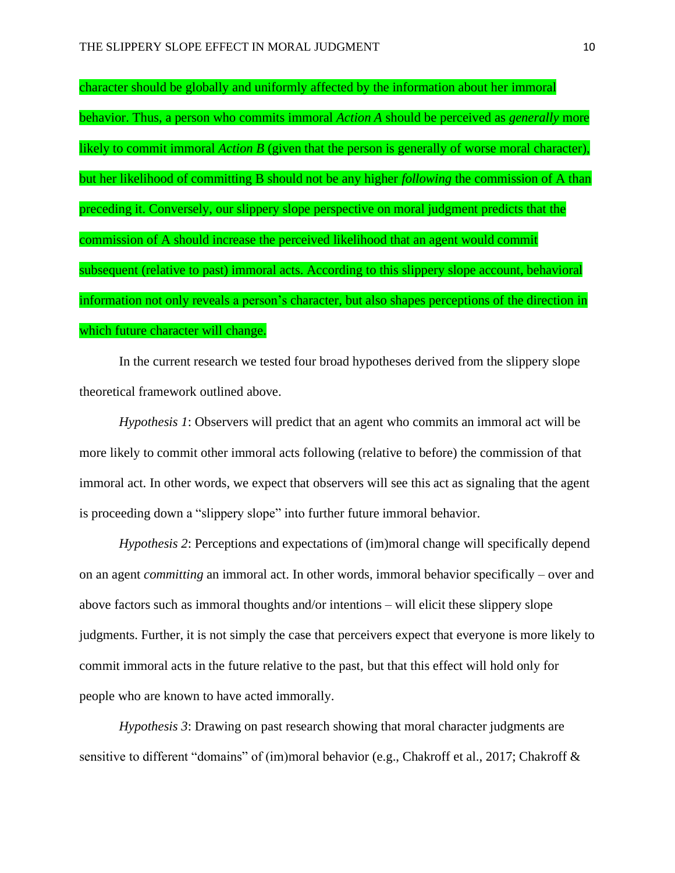character should be globally and uniformly affected by the information about her immoral behavior. Thus, a person who commits immoral *Action A* should be perceived as *generally* more likely to commit immoral *Action B* (given that the person is generally of worse moral character), but her likelihood of committing B should not be any higher *following* the commission of A than preceding it. Conversely, our slippery slope perspective on moral judgment predicts that the commission of A should increase the perceived likelihood that an agent would commit subsequent (relative to past) immoral acts. According to this slippery slope account, behavioral information not only reveals a person's character, but also shapes perceptions of the direction in which future character will change.

In the current research we tested four broad hypotheses derived from the slippery slope theoretical framework outlined above.

*Hypothesis 1*: Observers will predict that an agent who commits an immoral act will be more likely to commit other immoral acts following (relative to before) the commission of that immoral act. In other words, we expect that observers will see this act as signaling that the agent is proceeding down a "slippery slope" into further future immoral behavior.

*Hypothesis 2*: Perceptions and expectations of (im)moral change will specifically depend on an agent *committing* an immoral act. In other words, immoral behavior specifically – over and above factors such as immoral thoughts and/or intentions – will elicit these slippery slope judgments. Further, it is not simply the case that perceivers expect that everyone is more likely to commit immoral acts in the future relative to the past, but that this effect will hold only for people who are known to have acted immorally.

*Hypothesis 3*: Drawing on past research showing that moral character judgments are sensitive to different "domains" of (im)moral behavior (e.g., Chakroff et al., 2017; Chakroff &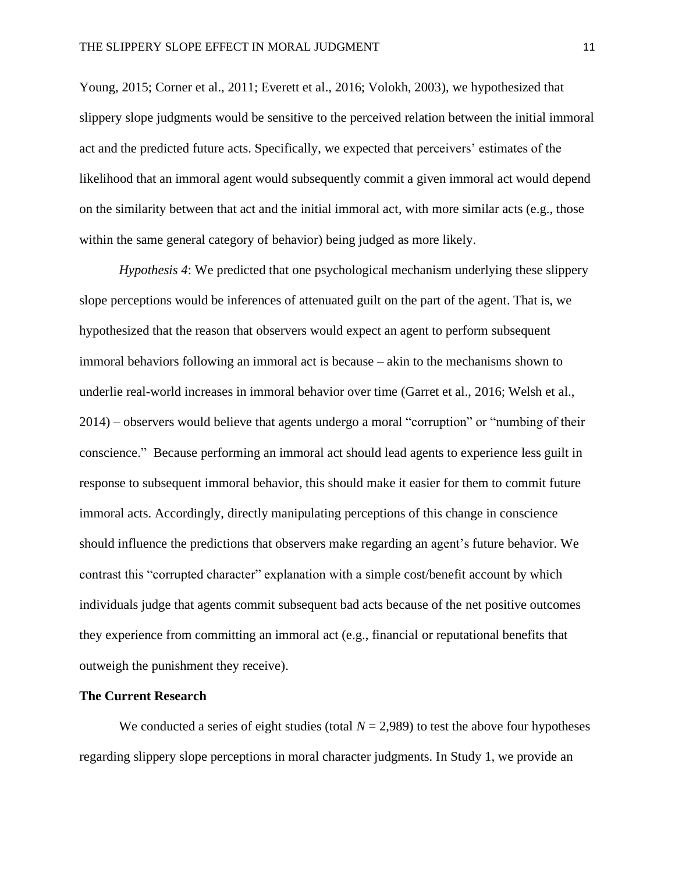Young, 2015; Corner et al., 2011; Everett et al., 2016; Volokh, 2003), we hypothesized that slippery slope judgments would be sensitive to the perceived relation between the initial immoral act and the predicted future acts. Specifically, we expected that perceivers' estimates of the likelihood that an immoral agent would subsequently commit a given immoral act would depend on the similarity between that act and the initial immoral act, with more similar acts (e.g., those within the same general category of behavior) being judged as more likely.

*Hypothesis 4*: We predicted that one psychological mechanism underlying these slippery slope perceptions would be inferences of attenuated guilt on the part of the agent. That is, we hypothesized that the reason that observers would expect an agent to perform subsequent immoral behaviors following an immoral act is because – akin to the mechanisms shown to underlie real-world increases in immoral behavior over time (Garret et al., 2016; Welsh et al., 2014) – observers would believe that agents undergo a moral "corruption" or "numbing of their conscience." Because performing an immoral act should lead agents to experience less guilt in response to subsequent immoral behavior, this should make it easier for them to commit future immoral acts. Accordingly, directly manipulating perceptions of this change in conscience should influence the predictions that observers make regarding an agent's future behavior. We contrast this "corrupted character" explanation with a simple cost/benefit account by which individuals judge that agents commit subsequent bad acts because of the net positive outcomes they experience from committing an immoral act (e.g., financial or reputational benefits that outweigh the punishment they receive).

## **The Current Research**

We conducted a series of eight studies (total  $N = 2,989$ ) to test the above four hypotheses regarding slippery slope perceptions in moral character judgments. In Study 1, we provide an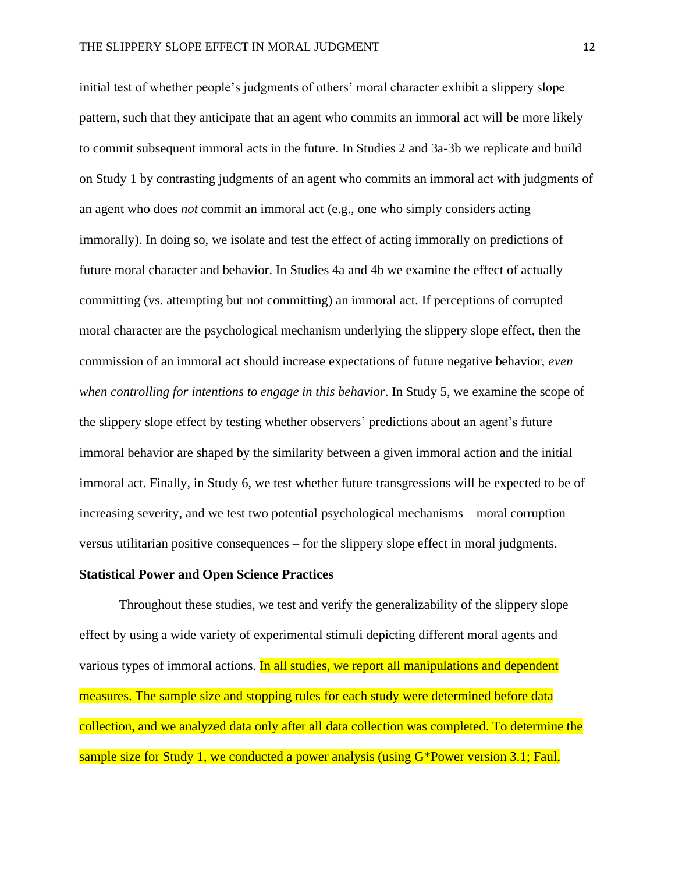initial test of whether people's judgments of others' moral character exhibit a slippery slope pattern, such that they anticipate that an agent who commits an immoral act will be more likely to commit subsequent immoral acts in the future. In Studies 2 and 3a-3b we replicate and build on Study 1 by contrasting judgments of an agent who commits an immoral act with judgments of an agent who does *not* commit an immoral act (e.g., one who simply considers acting immorally). In doing so, we isolate and test the effect of acting immorally on predictions of future moral character and behavior. In Studies 4a and 4b we examine the effect of actually committing (vs. attempting but not committing) an immoral act. If perceptions of corrupted moral character are the psychological mechanism underlying the slippery slope effect, then the commission of an immoral act should increase expectations of future negative behavior, *even when controlling for intentions to engage in this behavior*. In Study 5, we examine the scope of the slippery slope effect by testing whether observers' predictions about an agent's future immoral behavior are shaped by the similarity between a given immoral action and the initial immoral act. Finally, in Study 6, we test whether future transgressions will be expected to be of increasing severity, and we test two potential psychological mechanisms – moral corruption versus utilitarian positive consequences – for the slippery slope effect in moral judgments.

## **Statistical Power and Open Science Practices**

Throughout these studies, we test and verify the generalizability of the slippery slope effect by using a wide variety of experimental stimuli depicting different moral agents and various types of immoral actions. In all studies, we report all manipulations and dependent measures. The sample size and stopping rules for each study were determined before data collection, and we analyzed data only after all data collection was completed. To determine the sample size for Study 1, we conducted a power analysis (using G\*Power version 3.1; Faul,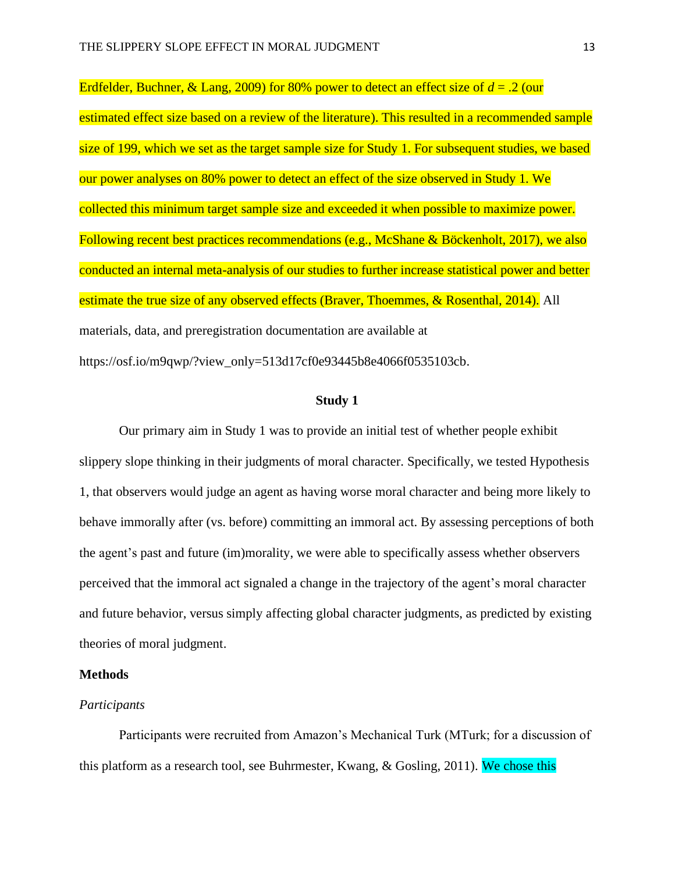Erdfelder, Buchner, & Lang, 2009) for 80% power to detect an effect size of *d* = .2 (our estimated effect size based on a review of the literature). This resulted in a recommended sample size of 199, which we set as the target sample size for Study 1. For subsequent studies, we based our power analyses on 80% power to detect an effect of the size observed in Study 1. We collected this minimum target sample size and exceeded it when possible to maximize power. Following recent best practices recommendations (e.g., McShane & Böckenholt, 2017), we also conducted an internal meta-analysis of our studies to further increase statistical power and better estimate the true size of any observed effects (Braver, Thoemmes, & Rosenthal, 2014). All materials, data, and preregistration documentation are available at https://osf.io/m9qwp/?view\_only=513d17cf0e93445b8e4066f0535103cb.

# **Study 1**

Our primary aim in Study 1 was to provide an initial test of whether people exhibit slippery slope thinking in their judgments of moral character. Specifically, we tested Hypothesis 1, that observers would judge an agent as having worse moral character and being more likely to behave immorally after (vs. before) committing an immoral act. By assessing perceptions of both the agent's past and future (im)morality, we were able to specifically assess whether observers perceived that the immoral act signaled a change in the trajectory of the agent's moral character and future behavior, versus simply affecting global character judgments, as predicted by existing theories of moral judgment.

# **Methods**

# *Participants*

Participants were recruited from Amazon's Mechanical Turk (MTurk; for a discussion of this platform as a research tool, see Buhrmester, Kwang,  $\&$  Gosling, 2011). We chose this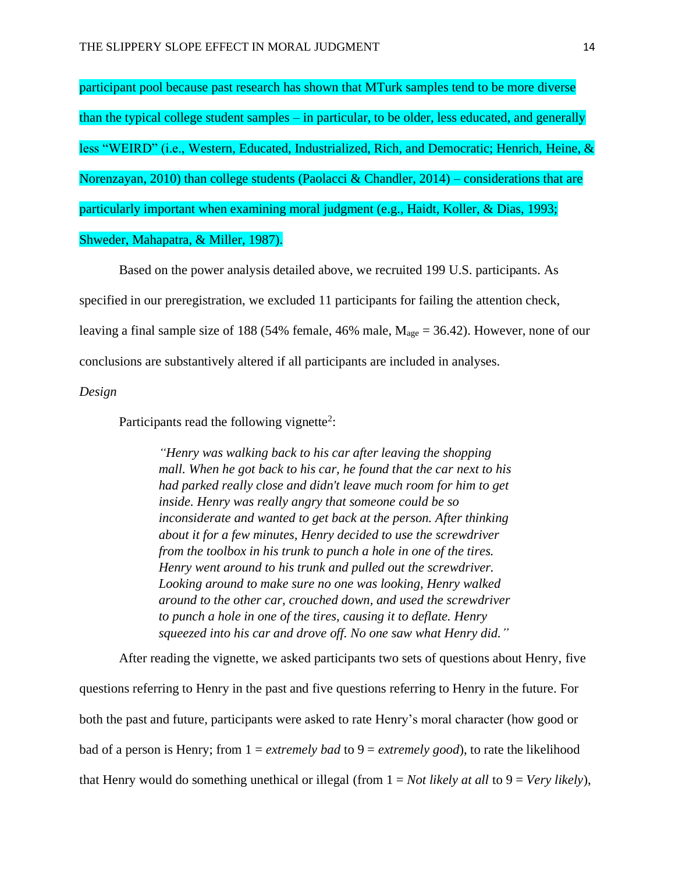participant pool because past research has shown that MTurk samples tend to be more diverse than the typical college student samples – in particular, to be older, less educated, and generally less "WEIRD" (i.e., Western, Educated, Industrialized, Rich, and Democratic; Henrich, Heine, & Norenzayan, 2010) than college students (Paolacci & Chandler, 2014) – considerations that are particularly important when examining moral judgment (e.g., Haidt, Koller, & Dias, 1993; Shweder, Mahapatra, & Miller, 1987).

Based on the power analysis detailed above, we recruited 199 U.S. participants. As specified in our preregistration, we excluded 11 participants for failing the attention check, leaving a final sample size of 188 (54% female, 46% male,  $M_{\text{age}} = 36.42$ ). However, none of our conclusions are substantively altered if all participants are included in analyses.

## *Design*

Participants read the following vignette<sup>2</sup>:

*"Henry was walking back to his car after leaving the shopping mall. When he got back to his car, he found that the car next to his had parked really close and didn't leave much room for him to get inside. Henry was really angry that someone could be so inconsiderate and wanted to get back at the person. After thinking about it for a few minutes, Henry decided to use the screwdriver from the toolbox in his trunk to punch a hole in one of the tires. Henry went around to his trunk and pulled out the screwdriver. Looking around to make sure no one was looking, Henry walked around to the other car, crouched down, and used the screwdriver to punch a hole in one of the tires, causing it to deflate. Henry squeezed into his car and drove off. No one saw what Henry did."*

After reading the vignette, we asked participants two sets of questions about Henry, five questions referring to Henry in the past and five questions referring to Henry in the future. For both the past and future, participants were asked to rate Henry's moral character (how good or bad of a person is Henry; from 1 = *extremely bad* to 9 = *extremely good*), to rate the likelihood that Henry would do something unethical or illegal (from  $1 = Not$  likely at all to  $9 = Very$  likely),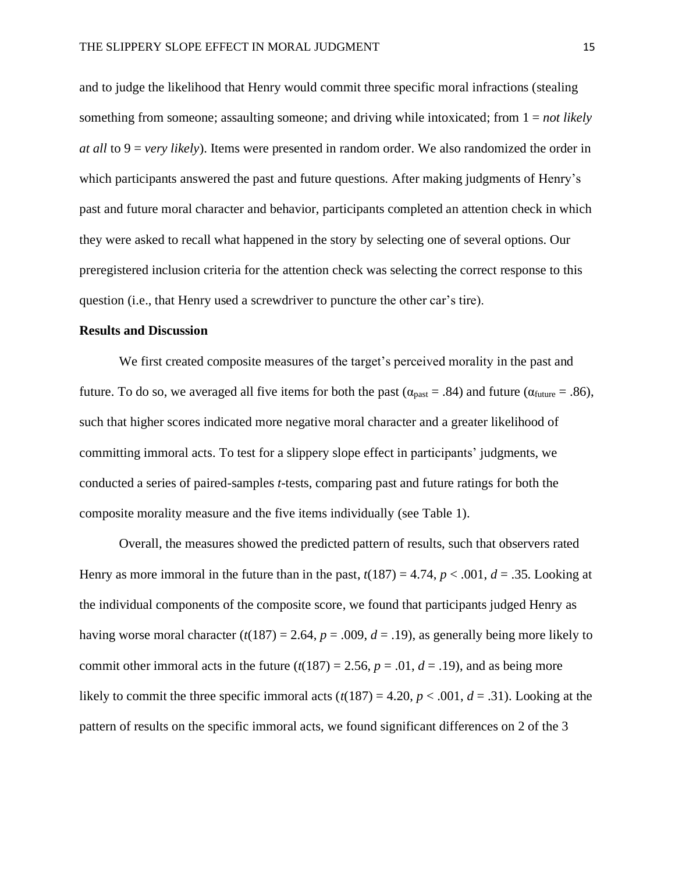and to judge the likelihood that Henry would commit three specific moral infractions (stealing something from someone; assaulting someone; and driving while intoxicated; from 1 = *not likely at all* to 9 = *very likely*). Items were presented in random order. We also randomized the order in which participants answered the past and future questions. After making judgments of Henry's past and future moral character and behavior, participants completed an attention check in which they were asked to recall what happened in the story by selecting one of several options. Our preregistered inclusion criteria for the attention check was selecting the correct response to this question (i.e., that Henry used a screwdriver to puncture the other car's tire).

## **Results and Discussion**

We first created composite measures of the target's perceived morality in the past and future. To do so, we averaged all five items for both the past ( $\alpha_{\text{past}} = .84$ ) and future ( $\alpha_{\text{future}} = .86$ ), such that higher scores indicated more negative moral character and a greater likelihood of committing immoral acts. To test for a slippery slope effect in participants' judgments, we conducted a series of paired-samples *t*-tests, comparing past and future ratings for both the composite morality measure and the five items individually (see Table 1).

Overall, the measures showed the predicted pattern of results, such that observers rated Henry as more immoral in the future than in the past,  $t(187) = 4.74$ ,  $p < .001$ ,  $d = .35$ . Looking at the individual components of the composite score, we found that participants judged Henry as having worse moral character  $(t(187) = 2.64, p = .009, d = .19)$ , as generally being more likely to commit other immoral acts in the future  $(t(187) = 2.56, p = .01, d = .19)$ , and as being more likely to commit the three specific immoral acts ( $t(187) = 4.20$ ,  $p < .001$ ,  $d = .31$ ). Looking at the pattern of results on the specific immoral acts, we found significant differences on 2 of the 3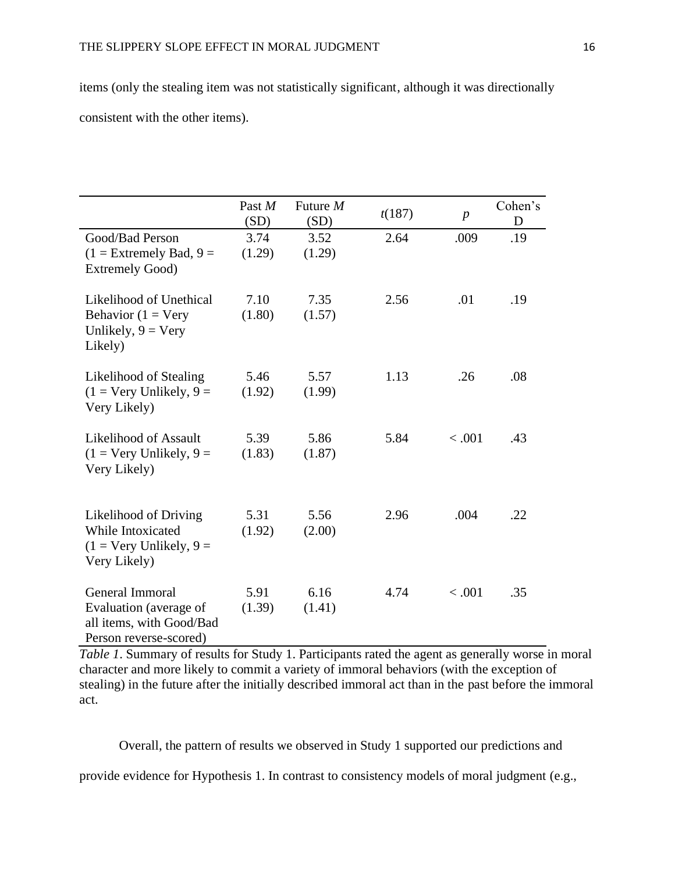items (only the stealing item was not statistically significant, although it was directionally consistent with the other items).

|                                                                                                   | Past M<br>(SD) | Future $M$<br>(SD) | t(187) | $\boldsymbol{p}$ | Cohen's<br>D |
|---------------------------------------------------------------------------------------------------|----------------|--------------------|--------|------------------|--------------|
| Good/Bad Person<br>$(1 =$ Extremely Bad, $9 =$<br><b>Extremely Good)</b>                          | 3.74<br>(1.29) | 3.52<br>(1.29)     | 2.64   | .009             | .19          |
| Likelihood of Unethical<br>Behavior ( $1 = \text{Very}$<br>Unlikely, $9 = \text{Very}$<br>Likely) | 7.10<br>(1.80) | 7.35<br>(1.57)     | 2.56   | .01              | .19          |
| Likelihood of Stealing<br>$(1 = \text{Very Unlikely}, 9 =$<br>Very Likely)                        | 5.46<br>(1.92) | 5.57<br>(1.99)     | 1.13   | .26              | .08          |
| Likelihood of Assault<br>$(1 = \text{Very Unlikely}, 9 =$<br>Very Likely)                         | 5.39<br>(1.83) | 5.86<br>(1.87)     | 5.84   | < .001           | .43          |
| Likelihood of Driving<br>While Intoxicated<br>$(1 = \text{Very Unlikely}, 9 =$<br>Very Likely)    | 5.31<br>(1.92) | 5.56<br>(2.00)     | 2.96   | .004             | .22          |
| General Immoral<br>Evaluation (average of<br>all items, with Good/Bad<br>Person reverse-scored)   | 5.91<br>(1.39) | 6.16<br>(1.41)     | 4.74   | < 0.001          | .35          |

*Table 1*. Summary of results for Study 1. Participants rated the agent as generally worse in moral character and more likely to commit a variety of immoral behaviors (with the exception of stealing) in the future after the initially described immoral act than in the past before the immoral act.

Overall, the pattern of results we observed in Study 1 supported our predictions and

provide evidence for Hypothesis 1. In contrast to consistency models of moral judgment (e.g.,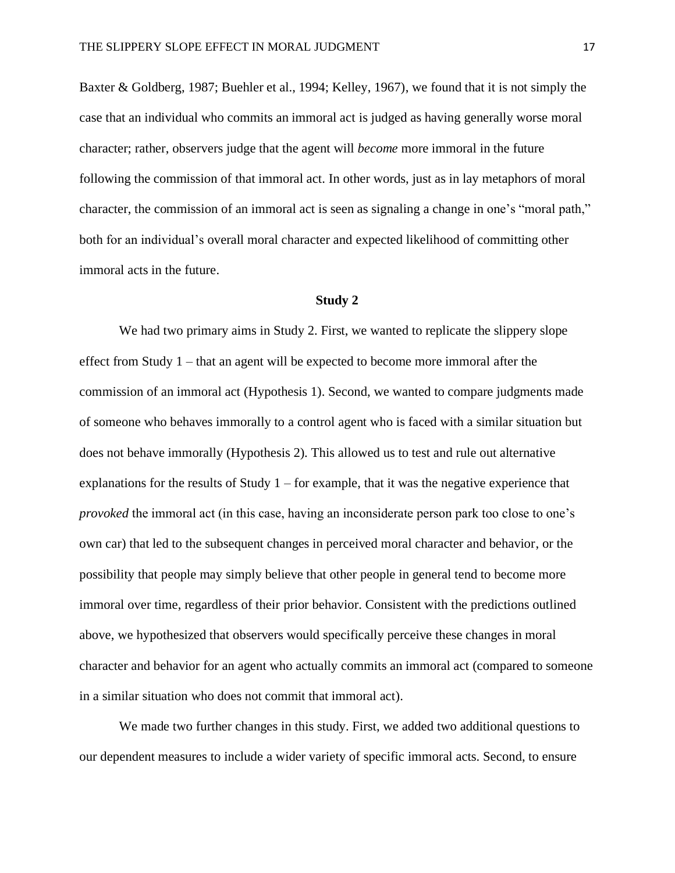Baxter & Goldberg, 1987; Buehler et al., 1994; Kelley, 1967), we found that it is not simply the case that an individual who commits an immoral act is judged as having generally worse moral character; rather, observers judge that the agent will *become* more immoral in the future following the commission of that immoral act. In other words, just as in lay metaphors of moral character, the commission of an immoral act is seen as signaling a change in one's "moral path," both for an individual's overall moral character and expected likelihood of committing other immoral acts in the future.

# **Study 2**

We had two primary aims in Study 2. First, we wanted to replicate the slippery slope effect from Study 1 – that an agent will be expected to become more immoral after the commission of an immoral act (Hypothesis 1). Second, we wanted to compare judgments made of someone who behaves immorally to a control agent who is faced with a similar situation but does not behave immorally (Hypothesis 2). This allowed us to test and rule out alternative explanations for the results of Study  $1$  – for example, that it was the negative experience that *provoked* the immoral act (in this case, having an inconsiderate person park too close to one's own car) that led to the subsequent changes in perceived moral character and behavior, or the possibility that people may simply believe that other people in general tend to become more immoral over time, regardless of their prior behavior. Consistent with the predictions outlined above, we hypothesized that observers would specifically perceive these changes in moral character and behavior for an agent who actually commits an immoral act (compared to someone in a similar situation who does not commit that immoral act).

We made two further changes in this study. First, we added two additional questions to our dependent measures to include a wider variety of specific immoral acts. Second, to ensure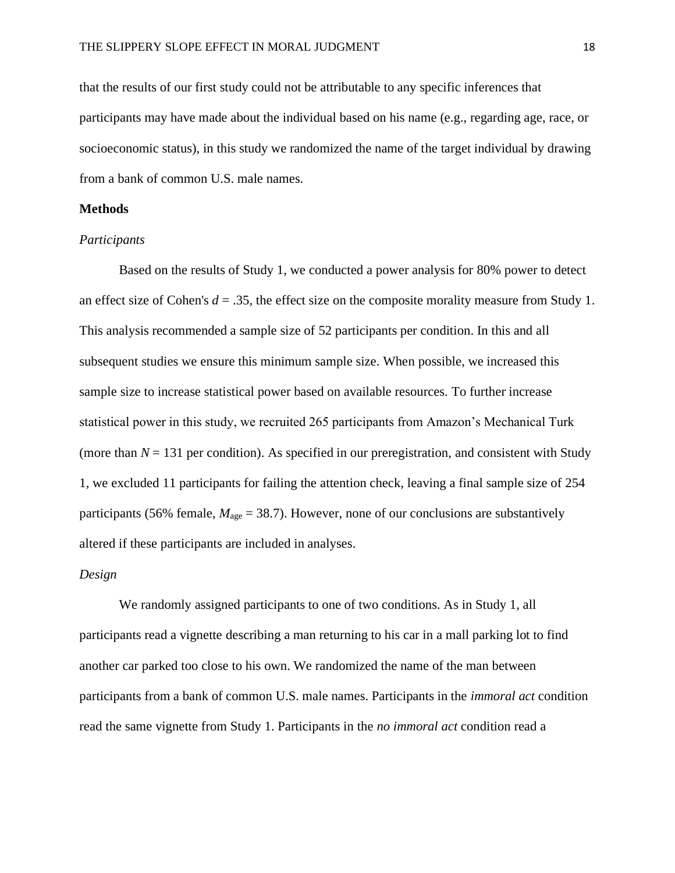that the results of our first study could not be attributable to any specific inferences that participants may have made about the individual based on his name (e.g., regarding age, race, or socioeconomic status), in this study we randomized the name of the target individual by drawing from a bank of common U.S. male names.

# **Methods**

# *Participants*

Based on the results of Study 1, we conducted a power analysis for 80% power to detect an effect size of Cohen's  $d = 0.35$ , the effect size on the composite morality measure from Study 1. This analysis recommended a sample size of 52 participants per condition. In this and all subsequent studies we ensure this minimum sample size. When possible, we increased this sample size to increase statistical power based on available resources. To further increase statistical power in this study, we recruited 265 participants from Amazon's Mechanical Turk (more than  $N = 131$  per condition). As specified in our preregistration, and consistent with Study 1, we excluded 11 participants for failing the attention check, leaving a final sample size of 254 participants (56% female,  $M_{\text{age}} = 38.7$ ). However, none of our conclusions are substantively altered if these participants are included in analyses.

# *Design*

We randomly assigned participants to one of two conditions. As in Study 1, all participants read a vignette describing a man returning to his car in a mall parking lot to find another car parked too close to his own. We randomized the name of the man between participants from a bank of common U.S. male names. Participants in the *immoral act* condition read the same vignette from Study 1. Participants in the *no immoral act* condition read a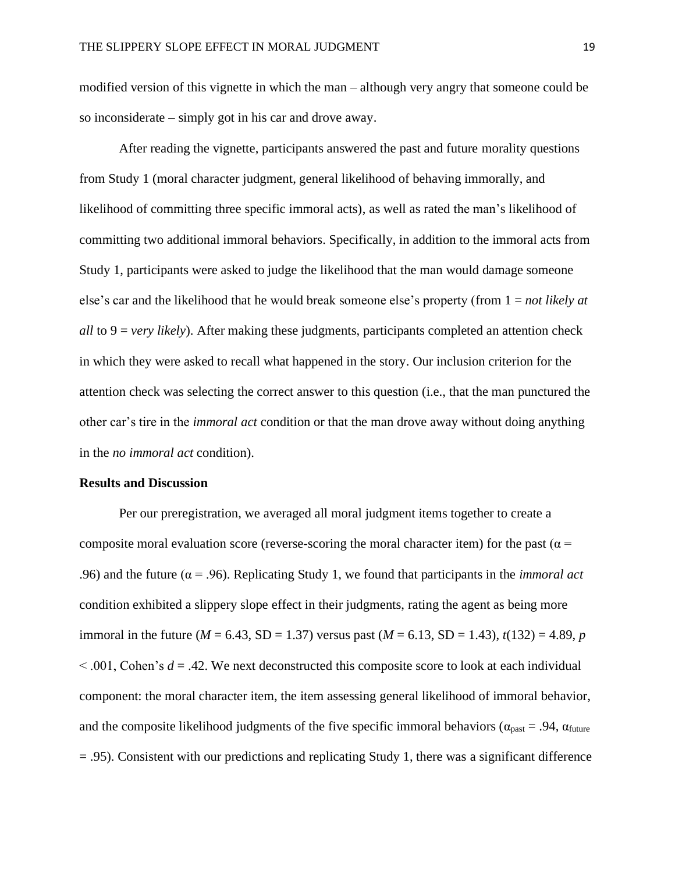modified version of this vignette in which the man – although very angry that someone could be so inconsiderate – simply got in his car and drove away.

After reading the vignette, participants answered the past and future morality questions from Study 1 (moral character judgment, general likelihood of behaving immorally, and likelihood of committing three specific immoral acts), as well as rated the man's likelihood of committing two additional immoral behaviors. Specifically, in addition to the immoral acts from Study 1, participants were asked to judge the likelihood that the man would damage someone else's car and the likelihood that he would break someone else's property (from 1 = *not likely at all* to 9 = *very likely*). After making these judgments, participants completed an attention check in which they were asked to recall what happened in the story. Our inclusion criterion for the attention check was selecting the correct answer to this question (i.e., that the man punctured the other car's tire in the *immoral act* condition or that the man drove away without doing anything in the *no immoral act* condition).

# **Results and Discussion**

Per our preregistration, we averaged all moral judgment items together to create a composite moral evaluation score (reverse-scoring the moral character item) for the past ( $\alpha$  = .96) and the future (α = .96). Replicating Study 1, we found that participants in the *immoral act* condition exhibited a slippery slope effect in their judgments, rating the agent as being more immoral in the future ( $M = 6.43$ , SD = 1.37) versus past ( $M = 6.13$ , SD = 1.43),  $t(132) = 4.89$ , *p*  $\leq$  001, Cohen's  $d = 0.42$ . We next deconstructed this composite score to look at each individual component: the moral character item, the item assessing general likelihood of immoral behavior, and the composite likelihood judgments of the five specific immoral behaviors ( $\alpha_{\text{past}} = .94$ ,  $\alpha_{\text{future}}$ )  $=$  .95). Consistent with our predictions and replicating Study 1, there was a significant difference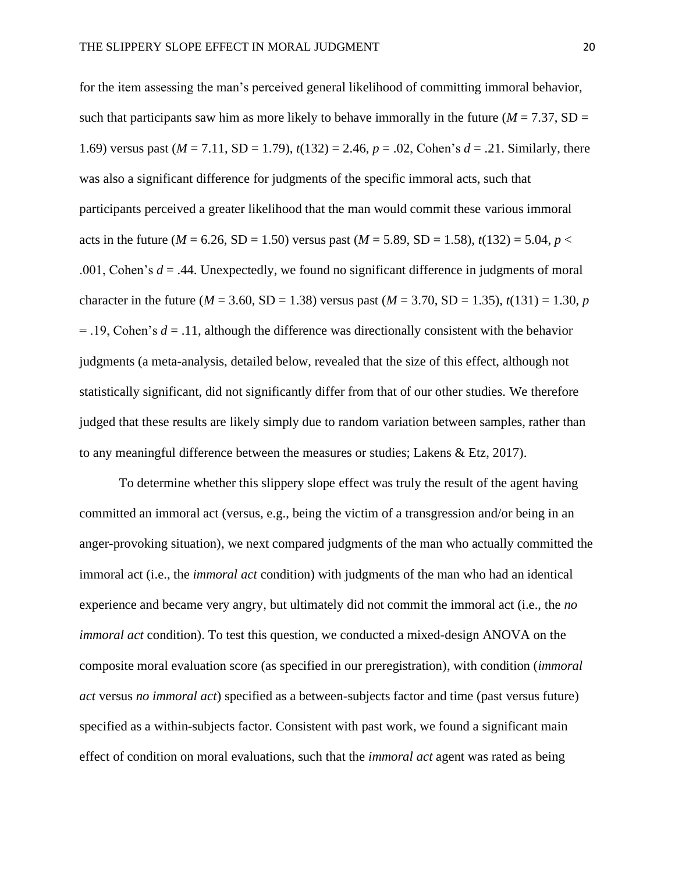for the item assessing the man's perceived general likelihood of committing immoral behavior, such that participants saw him as more likely to behave immorally in the future ( $M = 7.37$ , SD = 1.69) versus past ( $M = 7.11$ , SD = 1.79),  $t(132) = 2.46$ ,  $p = .02$ , Cohen's  $d = .21$ . Similarly, there was also a significant difference for judgments of the specific immoral acts, such that participants perceived a greater likelihood that the man would commit these various immoral acts in the future ( $M = 6.26$ , SD = 1.50) versus past ( $M = 5.89$ , SD = 1.58),  $t(132) = 5.04$ ,  $p <$ .001, Cohen's *d* = .44. Unexpectedly, we found no significant difference in judgments of moral character in the future ( $M = 3.60$ , SD = 1.38) versus past ( $M = 3.70$ , SD = 1.35),  $t(131) = 1.30$ , *p* = .19, Cohen's *d* = .11, although the difference was directionally consistent with the behavior judgments (a meta-analysis, detailed below, revealed that the size of this effect, although not statistically significant, did not significantly differ from that of our other studies. We therefore judged that these results are likely simply due to random variation between samples, rather than to any meaningful difference between the measures or studies; Lakens & Etz, 2017).

To determine whether this slippery slope effect was truly the result of the agent having committed an immoral act (versus, e.g., being the victim of a transgression and/or being in an anger-provoking situation), we next compared judgments of the man who actually committed the immoral act (i.e., the *immoral act* condition) with judgments of the man who had an identical experience and became very angry, but ultimately did not commit the immoral act (i.e., the *no immoral act* condition). To test this question, we conducted a mixed-design ANOVA on the composite moral evaluation score (as specified in our preregistration), with condition (*immoral act* versus *no immoral act*) specified as a between-subjects factor and time (past versus future) specified as a within-subjects factor. Consistent with past work, we found a significant main effect of condition on moral evaluations, such that the *immoral act* agent was rated as being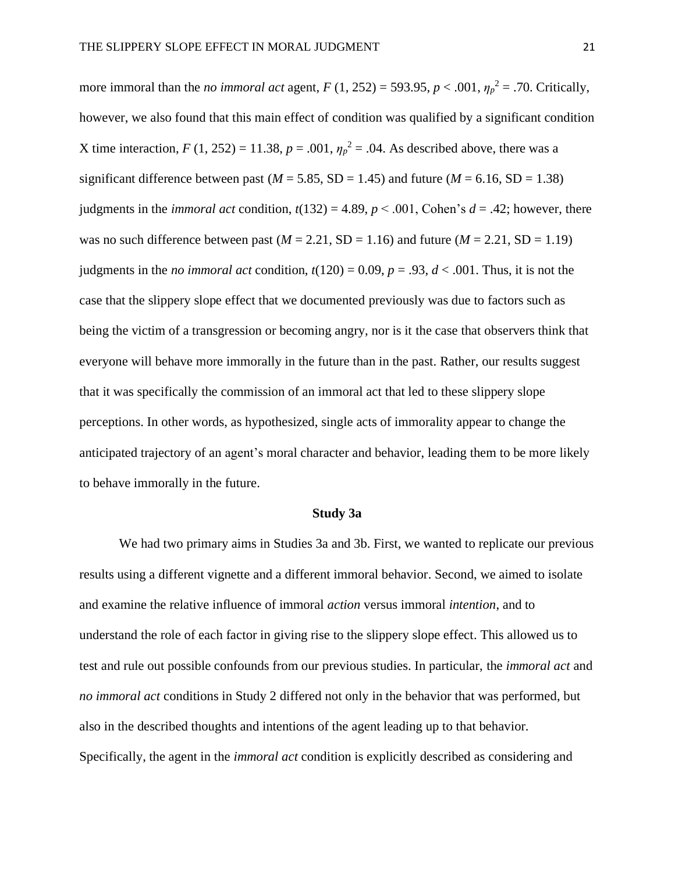more immoral than the *no immoral act* agent,  $F(1, 252) = 593.95$ ,  $p < .001$ ,  $\eta_p^2 = .70$ . Critically, however, we also found that this main effect of condition was qualified by a significant condition X time interaction,  $F(1, 252) = 11.38$ ,  $p = .001$ ,  $\eta_p^2 = .04$ . As described above, there was a significant difference between past ( $M = 5.85$ , SD = 1.45) and future ( $M = 6.16$ , SD = 1.38) judgments in the *immoral act* condition,  $t(132) = 4.89$ ,  $p < .001$ , Cohen's  $d = .42$ ; however, there was no such difference between past  $(M = 2.21, SD = 1.16)$  and future  $(M = 2.21, SD = 1.19)$ judgments in the *no immoral act* condition,  $t(120) = 0.09$ ,  $p = .93$ ,  $d < .001$ . Thus, it is not the case that the slippery slope effect that we documented previously was due to factors such as being the victim of a transgression or becoming angry, nor is it the case that observers think that everyone will behave more immorally in the future than in the past. Rather, our results suggest that it was specifically the commission of an immoral act that led to these slippery slope perceptions. In other words, as hypothesized, single acts of immorality appear to change the anticipated trajectory of an agent's moral character and behavior, leading them to be more likely to behave immorally in the future.

## **Study 3a**

We had two primary aims in Studies 3a and 3b. First, we wanted to replicate our previous results using a different vignette and a different immoral behavior. Second, we aimed to isolate and examine the relative influence of immoral *action* versus immoral *intention*, and to understand the role of each factor in giving rise to the slippery slope effect. This allowed us to test and rule out possible confounds from our previous studies. In particular, the *immoral act* and *no immoral act* conditions in Study 2 differed not only in the behavior that was performed, but also in the described thoughts and intentions of the agent leading up to that behavior. Specifically, the agent in the *immoral act* condition is explicitly described as considering and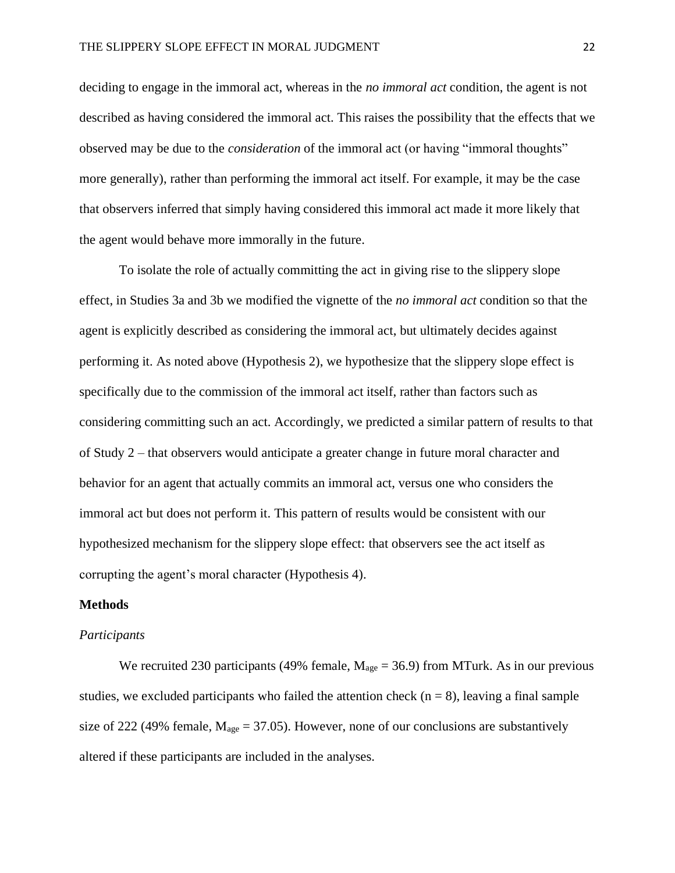deciding to engage in the immoral act, whereas in the *no immoral act* condition, the agent is not described as having considered the immoral act. This raises the possibility that the effects that we observed may be due to the *consideration* of the immoral act (or having "immoral thoughts" more generally), rather than performing the immoral act itself. For example, it may be the case that observers inferred that simply having considered this immoral act made it more likely that the agent would behave more immorally in the future.

To isolate the role of actually committing the act in giving rise to the slippery slope effect, in Studies 3a and 3b we modified the vignette of the *no immoral act* condition so that the agent is explicitly described as considering the immoral act, but ultimately decides against performing it. As noted above (Hypothesis 2), we hypothesize that the slippery slope effect is specifically due to the commission of the immoral act itself, rather than factors such as considering committing such an act. Accordingly, we predicted a similar pattern of results to that of Study 2 – that observers would anticipate a greater change in future moral character and behavior for an agent that actually commits an immoral act, versus one who considers the immoral act but does not perform it. This pattern of results would be consistent with our hypothesized mechanism for the slippery slope effect: that observers see the act itself as corrupting the agent's moral character (Hypothesis 4).

# **Methods**

# *Participants*

We recruited 230 participants (49% female,  $M_{\text{age}} = 36.9$ ) from MTurk. As in our previous studies, we excluded participants who failed the attention check  $(n = 8)$ , leaving a final sample size of 222 (49% female,  $M_{\text{age}} = 37.05$ ). However, none of our conclusions are substantively altered if these participants are included in the analyses.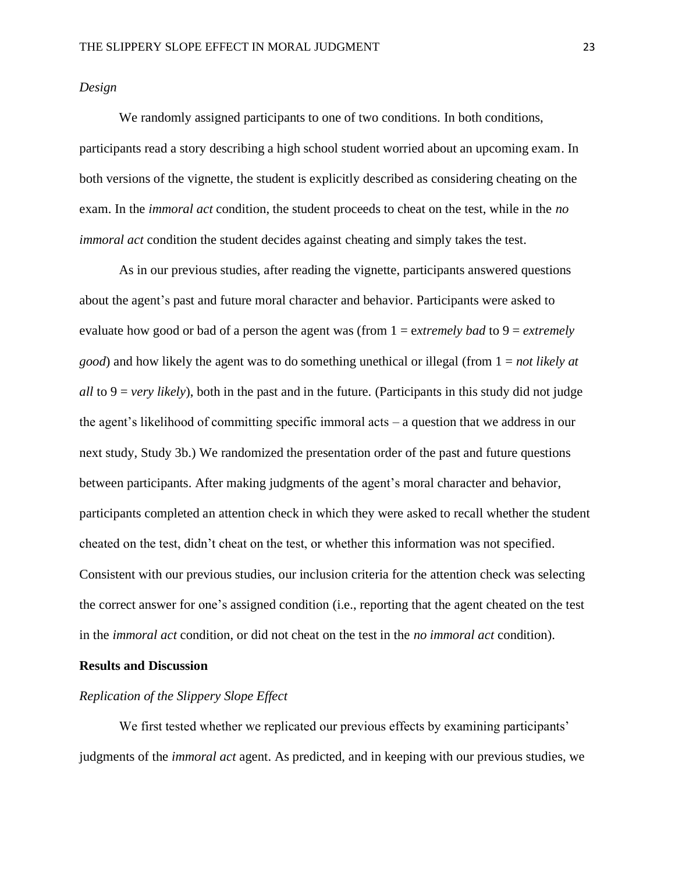# *Design*

We randomly assigned participants to one of two conditions. In both conditions, participants read a story describing a high school student worried about an upcoming exam. In both versions of the vignette, the student is explicitly described as considering cheating on the exam. In the *immoral act* condition, the student proceeds to cheat on the test, while in the *no immoral act* condition the student decides against cheating and simply takes the test.

As in our previous studies, after reading the vignette, participants answered questions about the agent's past and future moral character and behavior. Participants were asked to evaluate how good or bad of a person the agent was (from 1 = e*xtremely bad* to 9 = *extremely good*) and how likely the agent was to do something unethical or illegal (from 1 = *not likely at all* to  $9 = \text{very likely}$ , both in the past and in the future. (Participants in this study did not judge the agent's likelihood of committing specific immoral acts – a question that we address in our next study, Study 3b.) We randomized the presentation order of the past and future questions between participants. After making judgments of the agent's moral character and behavior, participants completed an attention check in which they were asked to recall whether the student cheated on the test, didn't cheat on the test, or whether this information was not specified. Consistent with our previous studies, our inclusion criteria for the attention check was selecting the correct answer for one's assigned condition (i.e., reporting that the agent cheated on the test in the *immoral act* condition, or did not cheat on the test in the *no immoral act* condition).

# **Results and Discussion**

# *Replication of the Slippery Slope Effect*

We first tested whether we replicated our previous effects by examining participants' judgments of the *immoral act* agent. As predicted, and in keeping with our previous studies, we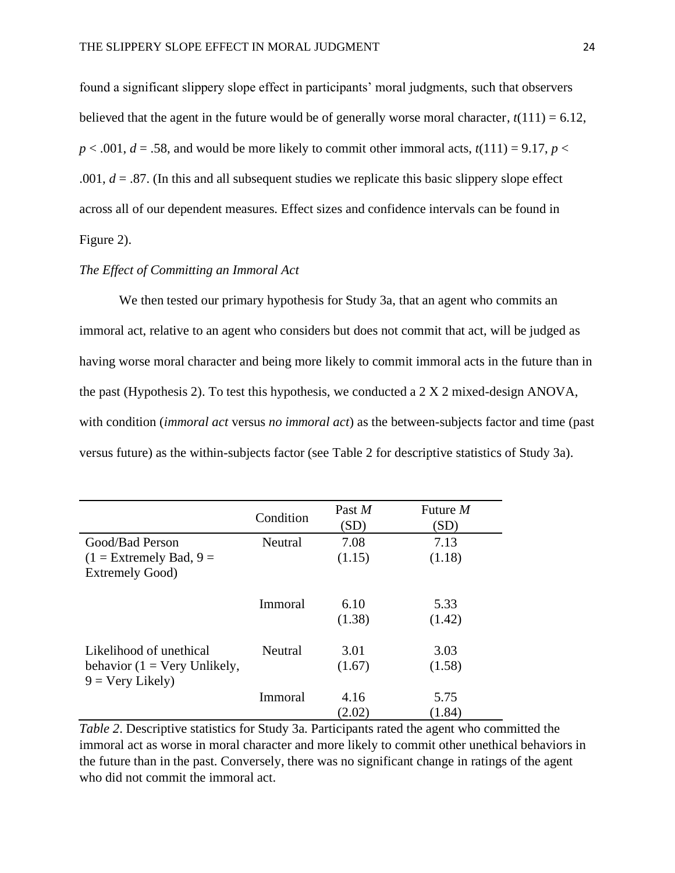found a significant slippery slope effect in participants' moral judgments, such that observers believed that the agent in the future would be of generally worse moral character,  $t(111) = 6.12$ ,  $p < .001$ ,  $d = .58$ , and would be more likely to commit other immoral acts,  $t(111) = 9.17$ ,  $p <$ .001,  $d = 0.87$ . (In this and all subsequent studies we replicate this basic slippery slope effect across all of our dependent measures. Effect sizes and confidence intervals can be found in Figure 2).

# *The Effect of Committing an Immoral Act*

We then tested our primary hypothesis for Study 3a, that an agent who commits an immoral act, relative to an agent who considers but does not commit that act, will be judged as having worse moral character and being more likely to commit immoral acts in the future than in the past (Hypothesis 2). To test this hypothesis, we conducted a 2 X 2 mixed-design ANOVA, with condition (*immoral act* versus *no immoral act*) as the between-subjects factor and time (past versus future) as the within-subjects factor (see Table 2 for descriptive statistics of Study 3a).

|                                                                   | Condition | Past M<br>(SD) | Future $M$<br>(SD) |
|-------------------------------------------------------------------|-----------|----------------|--------------------|
| Good/Bad Person                                                   | Neutral   | 7.08           | 7.13               |
| $(1 =$ Extremely Bad, $9 =$                                       |           | (1.15)         | (1.18)             |
| <b>Extremely Good)</b>                                            |           |                |                    |
|                                                                   | Immoral   | 6.10           | 5.33               |
|                                                                   |           | (1.38)         | (1.42)             |
| Likelihood of unethical                                           | Neutral   | 3.01           | 3.03               |
| behavior $(1 = \text{Very Unlikely},$<br>$9 = \text{Very Likely}$ |           | (1.67)         | (1.58)             |
|                                                                   | Immoral   | 4.16           | 5.75               |
|                                                                   |           | (2.02)         | (1.84)             |

*Table 2*. Descriptive statistics for Study 3a. Participants rated the agent who committed the immoral act as worse in moral character and more likely to commit other unethical behaviors in the future than in the past. Conversely, there was no significant change in ratings of the agent who did not commit the immoral act.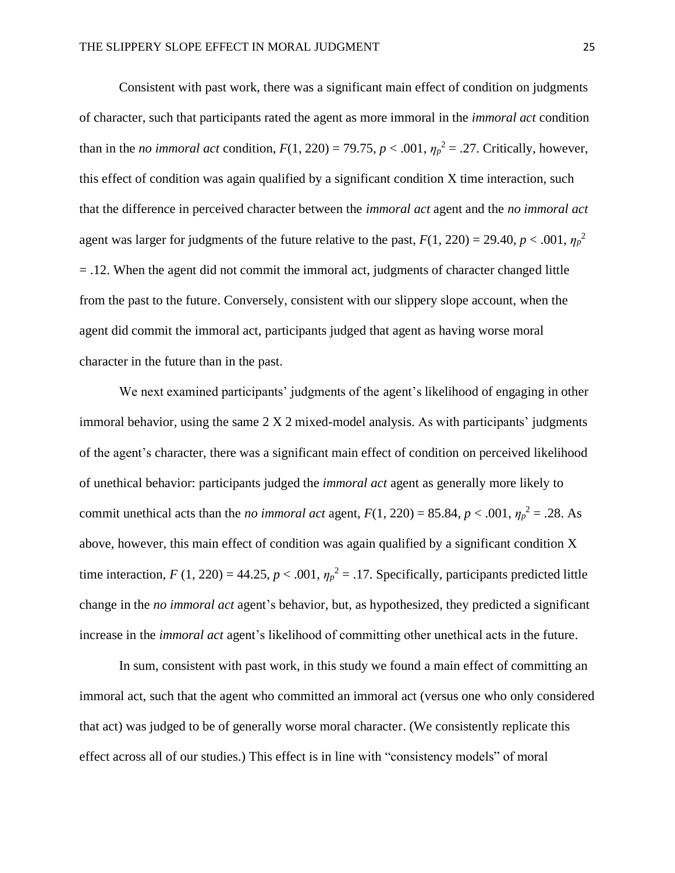Consistent with past work, there was a significant main effect of condition on judgments of character, such that participants rated the agent as more immoral in the *immoral act* condition than in the *no immoral act* condition,  $F(1, 220) = 79.75$ ,  $p < .001$ ,  $\eta_p^2 = .27$ . Critically, however, this effect of condition was again qualified by a significant condition X time interaction, such that the difference in perceived character between the *immoral act* agent and the *no immoral act* agent was larger for judgments of the future relative to the past,  $F(1, 220) = 29.40$ ,  $p < .001$ ,  $\eta_p^2$  $=$  .12. When the agent did not commit the immoral act, judgments of character changed little from the past to the future. Conversely, consistent with our slippery slope account, when the agent did commit the immoral act, participants judged that agent as having worse moral character in the future than in the past.

We next examined participants' judgments of the agent's likelihood of engaging in other immoral behavior, using the same 2 X 2 mixed-model analysis. As with participants' judgments of the agent's character, there was a significant main effect of condition on perceived likelihood of unethical behavior: participants judged the *immoral act* agent as generally more likely to commit unethical acts than the *no immoral act* agent,  $F(1, 220) = 85.84$ ,  $p < .001$ ,  $\eta_p^2 = .28$ . As above, however, this main effect of condition was again qualified by a significant condition X time interaction,  $F(1, 220) = 44.25$ ,  $p < .001$ ,  $\eta_p^2 = .17$ . Specifically, participants predicted little change in the *no immoral act* agent's behavior, but, as hypothesized, they predicted a significant increase in the *immoral act* agent's likelihood of committing other unethical acts in the future.

In sum, consistent with past work, in this study we found a main effect of committing an immoral act, such that the agent who committed an immoral act (versus one who only considered that act) was judged to be of generally worse moral character. (We consistently replicate this effect across all of our studies.) This effect is in line with "consistency models" of moral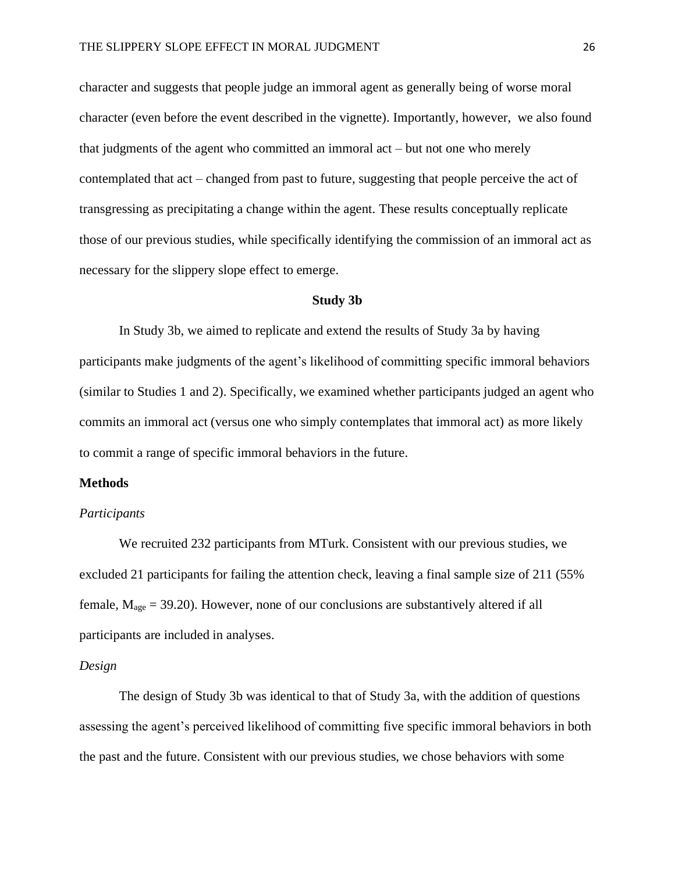character and suggests that people judge an immoral agent as generally being of worse moral character (even before the event described in the vignette). Importantly, however, we also found that judgments of the agent who committed an immoral act – but not one who merely contemplated that act – changed from past to future, suggesting that people perceive the act of transgressing as precipitating a change within the agent. These results conceptually replicate those of our previous studies, while specifically identifying the commission of an immoral act as necessary for the slippery slope effect to emerge.

## **Study 3b**

In Study 3b, we aimed to replicate and extend the results of Study 3a by having participants make judgments of the agent's likelihood of committing specific immoral behaviors (similar to Studies 1 and 2). Specifically, we examined whether participants judged an agent who commits an immoral act (versus one who simply contemplates that immoral act) as more likely to commit a range of specific immoral behaviors in the future.

#### **Methods**

#### *Participants*

We recruited 232 participants from MTurk. Consistent with our previous studies, we excluded 21 participants for failing the attention check, leaving a final sample size of 211 (55% female,  $M_{\text{age}} = 39.20$ ). However, none of our conclusions are substantively altered if all participants are included in analyses.

## *Design*

The design of Study 3b was identical to that of Study 3a, with the addition of questions assessing the agent's perceived likelihood of committing five specific immoral behaviors in both the past and the future. Consistent with our previous studies, we chose behaviors with some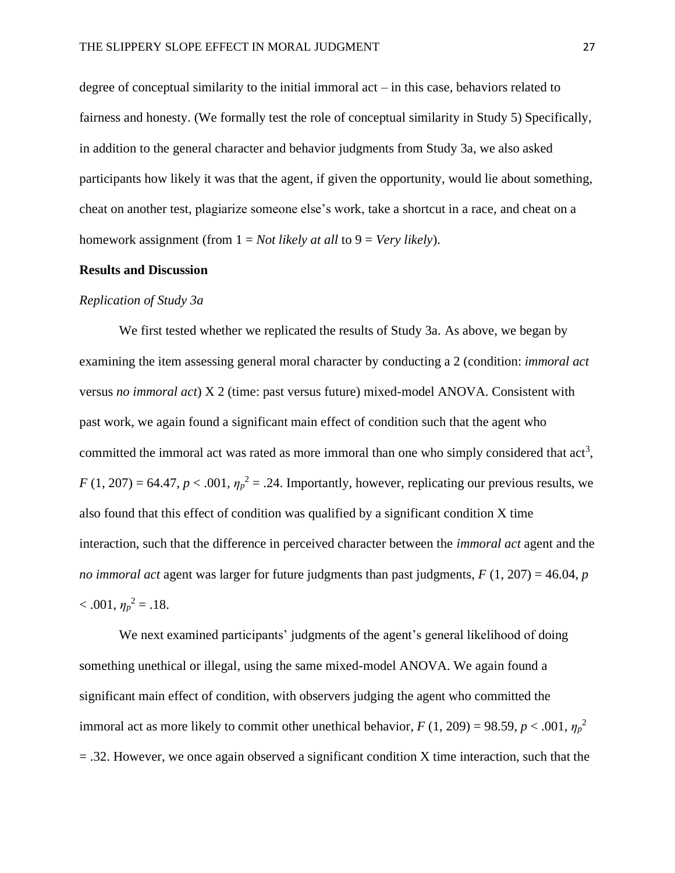degree of conceptual similarity to the initial immoral act – in this case, behaviors related to fairness and honesty. (We formally test the role of conceptual similarity in Study 5) Specifically, in addition to the general character and behavior judgments from Study 3a, we also asked participants how likely it was that the agent, if given the opportunity, would lie about something, cheat on another test, plagiarize someone else's work, take a shortcut in a race, and cheat on a homework assignment (from 1 = *Not likely at all* to 9 = *Very likely*).

#### **Results and Discussion**

## *Replication of Study 3a*

We first tested whether we replicated the results of Study 3a. As above, we began by examining the item assessing general moral character by conducting a 2 (condition: *immoral act* versus *no immoral act*) X 2 (time: past versus future) mixed-model ANOVA. Consistent with past work, we again found a significant main effect of condition such that the agent who committed the immoral act was rated as more immoral than one who simply considered that  $act<sup>3</sup>$ ,  $F(1, 207) = 64.47$ ,  $p < .001$ ,  $\eta_p^2 = .24$ . Importantly, however, replicating our previous results, we also found that this effect of condition was qualified by a significant condition X time interaction, such that the difference in perceived character between the *immoral act* agent and the *no immoral act* agent was larger for future judgments than past judgments, *F* (1, 207) = 46.04, *p*  $< .001, \eta_p^2 = .18.$ 

We next examined participants' judgments of the agent's general likelihood of doing something unethical or illegal, using the same mixed-model ANOVA. We again found a significant main effect of condition, with observers judging the agent who committed the immoral act as more likely to commit other unethical behavior,  $F(1, 209) = 98.59$ ,  $p < .001$ ,  $\eta_p^2$  $=$  .32. However, we once again observed a significant condition X time interaction, such that the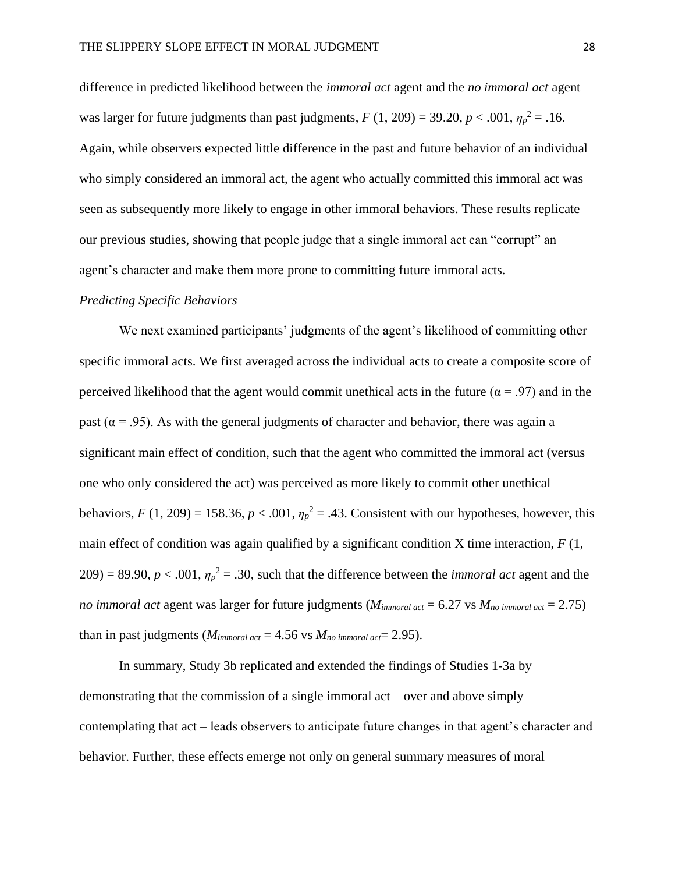difference in predicted likelihood between the *immoral act* agent and the *no immoral act* agent was larger for future judgments than past judgments,  $F(1, 209) = 39.20, p < .001, \eta_p^2 = .16$ . Again, while observers expected little difference in the past and future behavior of an individual who simply considered an immoral act, the agent who actually committed this immoral act was seen as subsequently more likely to engage in other immoral behaviors. These results replicate our previous studies, showing that people judge that a single immoral act can "corrupt" an agent's character and make them more prone to committing future immoral acts.

#### *Predicting Specific Behaviors*

We next examined participants' judgments of the agent's likelihood of committing other specific immoral acts. We first averaged across the individual acts to create a composite score of perceived likelihood that the agent would commit unethical acts in the future ( $\alpha$  = .97) and in the past ( $\alpha$  = .95). As with the general judgments of character and behavior, there was again a significant main effect of condition, such that the agent who committed the immoral act (versus one who only considered the act) was perceived as more likely to commit other unethical behaviors,  $F(1, 209) = 158.36$ ,  $p < .001$ ,  $\eta_p^2 = .43$ . Consistent with our hypotheses, however, this main effect of condition was again qualified by a significant condition X time interaction,  $F(1)$ ,  $209$  = 89.90,  $p < .001$ ,  $\eta_p^2 = .30$ , such that the difference between the *immoral act* agent and the *no immoral act* agent was larger for future judgments (*Mimmoral act* = 6.27 vs *Mno immoral act* = 2.75) than in past judgments ( $M_{\text{immoral act}} = 4.56$  vs  $M_{\text{no immoral act}} = 2.95$ ).

In summary, Study 3b replicated and extended the findings of Studies 1-3a by demonstrating that the commission of a single immoral act – over and above simply contemplating that act – leads observers to anticipate future changes in that agent's character and behavior. Further, these effects emerge not only on general summary measures of moral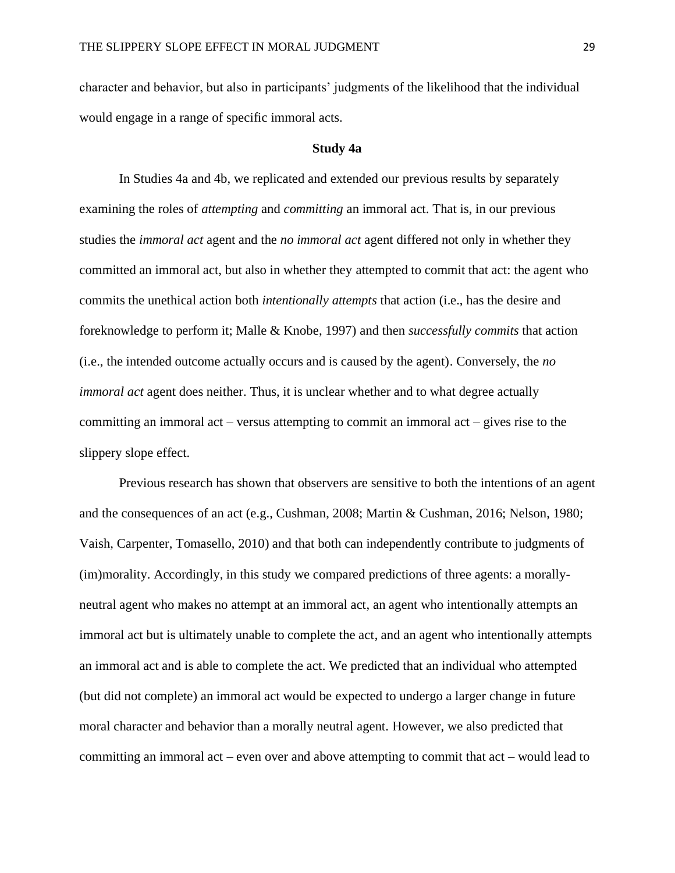character and behavior, but also in participants' judgments of the likelihood that the individual would engage in a range of specific immoral acts.

#### **Study 4a**

In Studies 4a and 4b, we replicated and extended our previous results by separately examining the roles of *attempting* and *committing* an immoral act. That is, in our previous studies the *immoral act* agent and the *no immoral act* agent differed not only in whether they committed an immoral act, but also in whether they attempted to commit that act: the agent who commits the unethical action both *intentionally attempts* that action (i.e., has the desire and foreknowledge to perform it; Malle & Knobe, 1997) and then *successfully commits* that action (i.e., the intended outcome actually occurs and is caused by the agent). Conversely, the *no immoral act* agent does neither. Thus, it is unclear whether and to what degree actually committing an immoral act – versus attempting to commit an immoral act – gives rise to the slippery slope effect.

Previous research has shown that observers are sensitive to both the intentions of an agent and the consequences of an act (e.g., Cushman, 2008; Martin & Cushman, 2016; Nelson, 1980; Vaish, Carpenter, Tomasello, 2010) and that both can independently contribute to judgments of (im)morality. Accordingly, in this study we compared predictions of three agents: a morallyneutral agent who makes no attempt at an immoral act, an agent who intentionally attempts an immoral act but is ultimately unable to complete the act, and an agent who intentionally attempts an immoral act and is able to complete the act. We predicted that an individual who attempted (but did not complete) an immoral act would be expected to undergo a larger change in future moral character and behavior than a morally neutral agent. However, we also predicted that committing an immoral act – even over and above attempting to commit that act – would lead to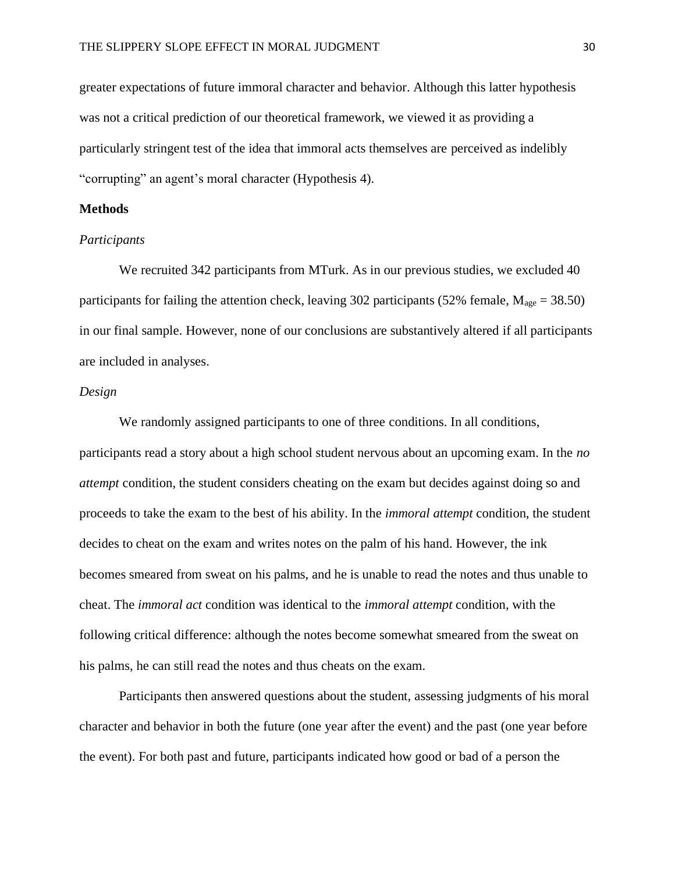greater expectations of future immoral character and behavior. Although this latter hypothesis was not a critical prediction of our theoretical framework, we viewed it as providing a particularly stringent test of the idea that immoral acts themselves are perceived as indelibly "corrupting" an agent's moral character (Hypothesis 4).

# **Methods**

# *Participants*

We recruited 342 participants from MTurk. As in our previous studies, we excluded 40 participants for failing the attention check, leaving 302 participants (52% female,  $M_{\text{age}} = 38.50$ ) in our final sample. However, none of our conclusions are substantively altered if all participants are included in analyses.

# *Design*

We randomly assigned participants to one of three conditions. In all conditions, participants read a story about a high school student nervous about an upcoming exam. In the *no attempt* condition, the student considers cheating on the exam but decides against doing so and proceeds to take the exam to the best of his ability. In the *immoral attempt* condition, the student decides to cheat on the exam and writes notes on the palm of his hand. However, the ink becomes smeared from sweat on his palms, and he is unable to read the notes and thus unable to cheat. The *immoral act* condition was identical to the *immoral attempt* condition, with the following critical difference: although the notes become somewhat smeared from the sweat on his palms, he can still read the notes and thus cheats on the exam.

Participants then answered questions about the student, assessing judgments of his moral character and behavior in both the future (one year after the event) and the past (one year before the event). For both past and future, participants indicated how good or bad of a person the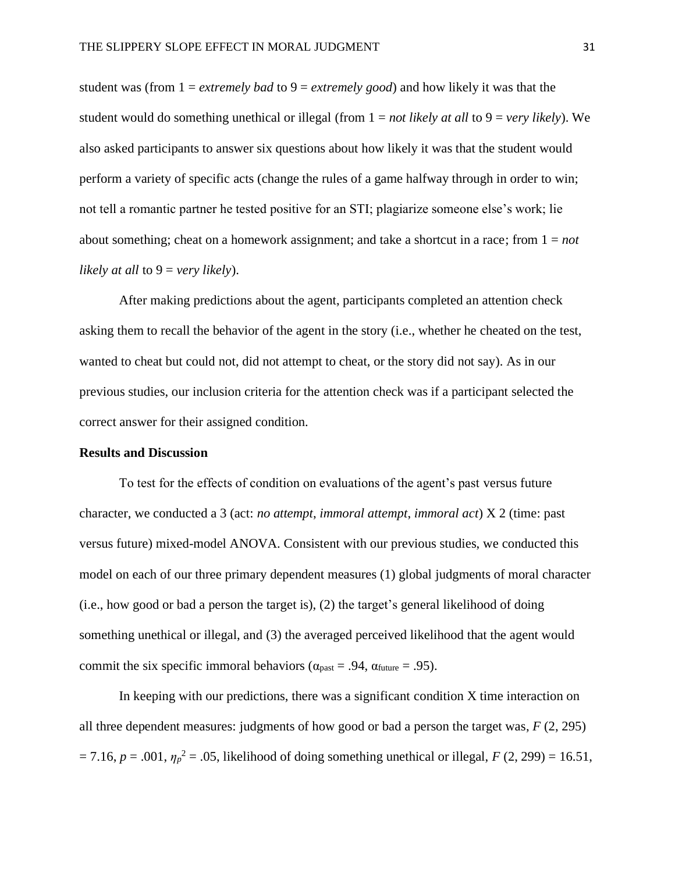student was (from 1 = *extremely bad* to 9 = *extremely good*) and how likely it was that the student would do something unethical or illegal (from 1 = *not likely at all* to 9 = *very likely*). We also asked participants to answer six questions about how likely it was that the student would perform a variety of specific acts (change the rules of a game halfway through in order to win; not tell a romantic partner he tested positive for an STI; plagiarize someone else's work; lie about something; cheat on a homework assignment; and take a shortcut in a race; from 1 = *not likely at all* to 9 = *very likely*).

After making predictions about the agent, participants completed an attention check asking them to recall the behavior of the agent in the story (i.e., whether he cheated on the test, wanted to cheat but could not, did not attempt to cheat, or the story did not say). As in our previous studies, our inclusion criteria for the attention check was if a participant selected the correct answer for their assigned condition.

#### **Results and Discussion**

To test for the effects of condition on evaluations of the agent's past versus future character, we conducted a 3 (act: *no attempt*, *immoral attempt*, *immoral act*) X 2 (time: past versus future) mixed-model ANOVA. Consistent with our previous studies, we conducted this model on each of our three primary dependent measures (1) global judgments of moral character (i.e., how good or bad a person the target is), (2) the target's general likelihood of doing something unethical or illegal, and (3) the averaged perceived likelihood that the agent would commit the six specific immoral behaviors ( $\alpha_{\text{past}} = .94$ ,  $\alpha_{\text{future}} = .95$ ).

In keeping with our predictions, there was a significant condition X time interaction on all three dependent measures: judgments of how good or bad a person the target was, *F* (2, 295)  $= 7.16, p = .001, \eta_p^2 = .05$ , likelihood of doing something unethical or illegal, *F* (2, 299) = 16.51,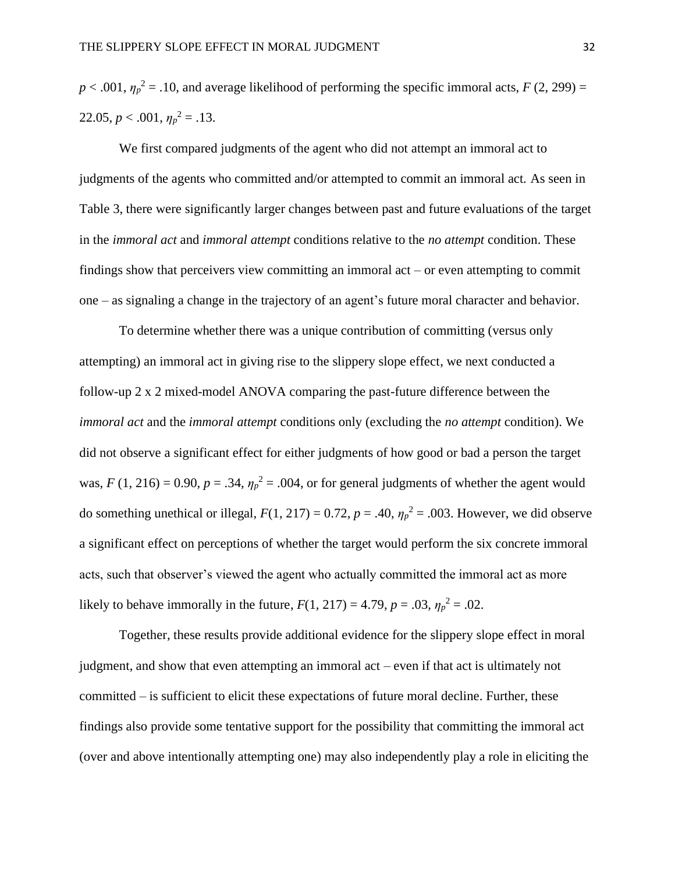$p < .001$ ,  $\eta_p^2 = .10$ , and average likelihood of performing the specific immoral acts, *F* (2, 299) = 22.05,  $p < .001$ ,  $\eta_p^2 = .13$ .

We first compared judgments of the agent who did not attempt an immoral act to judgments of the agents who committed and/or attempted to commit an immoral act. As seen in Table 3, there were significantly larger changes between past and future evaluations of the target in the *immoral act* and *immoral attempt* conditions relative to the *no attempt* condition. These findings show that perceivers view committing an immoral act – or even attempting to commit one – as signaling a change in the trajectory of an agent's future moral character and behavior.

To determine whether there was a unique contribution of committing (versus only attempting) an immoral act in giving rise to the slippery slope effect, we next conducted a follow-up 2 x 2 mixed-model ANOVA comparing the past-future difference between the *immoral act* and the *immoral attempt* conditions only (excluding the *no attempt* condition). We did not observe a significant effect for either judgments of how good or bad a person the target was,  $F(1, 216) = 0.90$ ,  $p = .34$ ,  $\eta_p^2 = .004$ , or for general judgments of whether the agent would do something unethical or illegal,  $F(1, 217) = 0.72$ ,  $p = .40$ ,  $\eta_p^2 = .003$ . However, we did observe a significant effect on perceptions of whether the target would perform the six concrete immoral acts, such that observer's viewed the agent who actually committed the immoral act as more likely to behave immorally in the future,  $F(1, 217) = 4.79$ ,  $p = .03$ ,  $\eta_p^2 = .02$ .

Together, these results provide additional evidence for the slippery slope effect in moral judgment, and show that even attempting an immoral act – even if that act is ultimately not committed – is sufficient to elicit these expectations of future moral decline. Further, these findings also provide some tentative support for the possibility that committing the immoral act (over and above intentionally attempting one) may also independently play a role in eliciting the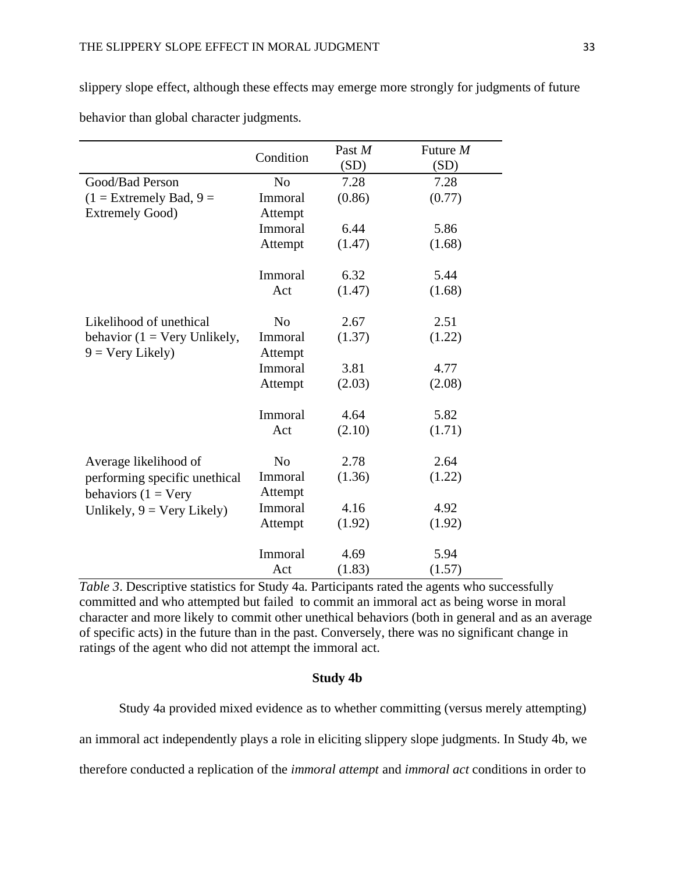slippery slope effect, although these effects may emerge more strongly for judgments of future behavior than global character judgments.

|                                                                    | Condition          | Past M<br>(SD) | Future $M$<br>(SD) |
|--------------------------------------------------------------------|--------------------|----------------|--------------------|
| Good/Bad Person                                                    | N <sub>o</sub>     | 7.28           | 7.28               |
| $(1 =$ Extremely Bad, $9 =$                                        | Immoral            | (0.86)         | (0.77)             |
| <b>Extremely Good)</b>                                             | Attempt            |                |                    |
|                                                                    | Immoral            | 6.44           | 5.86               |
|                                                                    | Attempt            | (1.47)         | (1.68)             |
|                                                                    | Immoral            | 6.32           | 5.44               |
|                                                                    | Act                | (1.47)         | (1.68)             |
| Likelihood of unethical                                            | N <sub>0</sub>     | 2.67           | 2.51               |
| behavior ( $1 = \text{Very Unlikely},$<br>$9 = \text{Very Likely}$ | Immoral<br>Attempt | (1.37)         | (1.22)             |
|                                                                    | Immoral            | 3.81           | 4.77               |
|                                                                    | Attempt            | (2.03)         | (2.08)             |
|                                                                    |                    |                |                    |
|                                                                    | Immoral            | 4.64           | 5.82               |
|                                                                    | Act                | (2.10)         | (1.71)             |
| Average likelihood of                                              | N <sub>0</sub>     | 2.78           | 2.64               |
| performing specific unethical<br>behaviors $(1 = Very)$            | Immoral<br>Attempt | (1.36)         | (1.22)             |
| Unlikely, $9 = \text{Very likely}$                                 | Immoral            | 4.16           | 4.92               |
|                                                                    | Attempt            | (1.92)         | (1.92)             |
|                                                                    |                    |                |                    |
|                                                                    | Immoral            | 4.69           | 5.94               |
|                                                                    | Act                | (1.83)         | (1.57)             |

*Table 3*. Descriptive statistics for Study 4a. Participants rated the agents who successfully committed and who attempted but failed to commit an immoral act as being worse in moral character and more likely to commit other unethical behaviors (both in general and as an average of specific acts) in the future than in the past. Conversely, there was no significant change in ratings of the agent who did not attempt the immoral act.

# **Study 4b**

Study 4a provided mixed evidence as to whether committing (versus merely attempting) an immoral act independently plays a role in eliciting slippery slope judgments. In Study 4b, we therefore conducted a replication of the *immoral attempt* and *immoral act* conditions in order to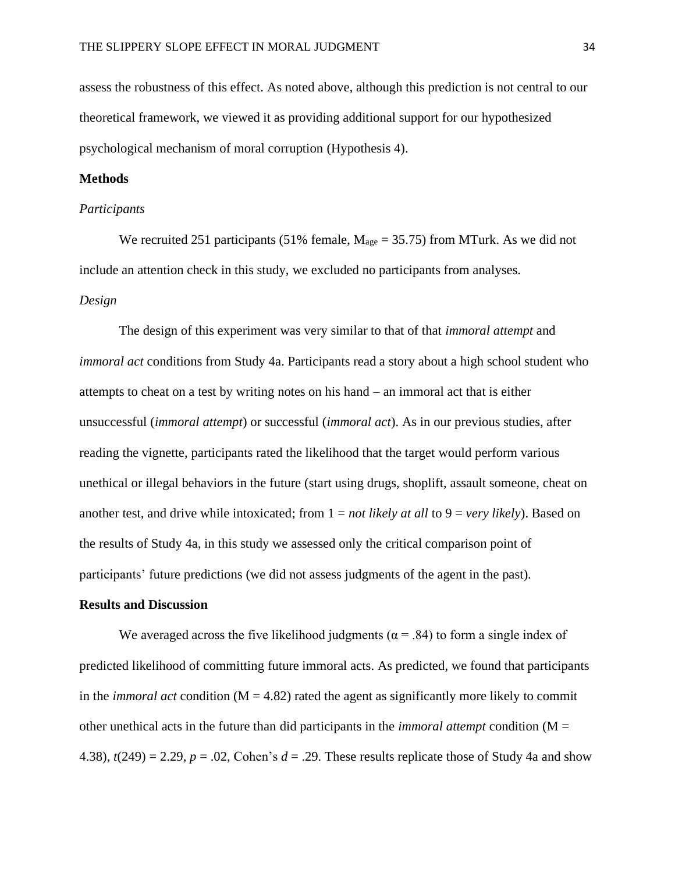assess the robustness of this effect. As noted above, although this prediction is not central to our theoretical framework, we viewed it as providing additional support for our hypothesized psychological mechanism of moral corruption (Hypothesis 4).

# **Methods**

#### *Participants*

We recruited 251 participants (51% female,  $M_{\text{age}} = 35.75$ ) from MTurk. As we did not include an attention check in this study, we excluded no participants from analyses. *Design*

The design of this experiment was very similar to that of that *immoral attempt* and *immoral act* conditions from Study 4a. Participants read a story about a high school student who attempts to cheat on a test by writing notes on his hand – an immoral act that is either unsuccessful (*immoral attempt*) or successful (*immoral act*). As in our previous studies, after reading the vignette, participants rated the likelihood that the target would perform various unethical or illegal behaviors in the future (start using drugs, shoplift, assault someone, cheat on another test, and drive while intoxicated; from 1 = *not likely at all* to 9 = *very likely*). Based on the results of Study 4a, in this study we assessed only the critical comparison point of participants' future predictions (we did not assess judgments of the agent in the past).

# **Results and Discussion**

We averaged across the five likelihood judgments ( $\alpha$  = .84) to form a single index of predicted likelihood of committing future immoral acts. As predicted, we found that participants in the *immoral act* condition  $(M = 4.82)$  rated the agent as significantly more likely to commit other unethical acts in the future than did participants in the *immoral attempt* condition (M = 4.38),  $t(249) = 2.29$ ,  $p = .02$ , Cohen's  $d = .29$ . These results replicate those of Study 4a and show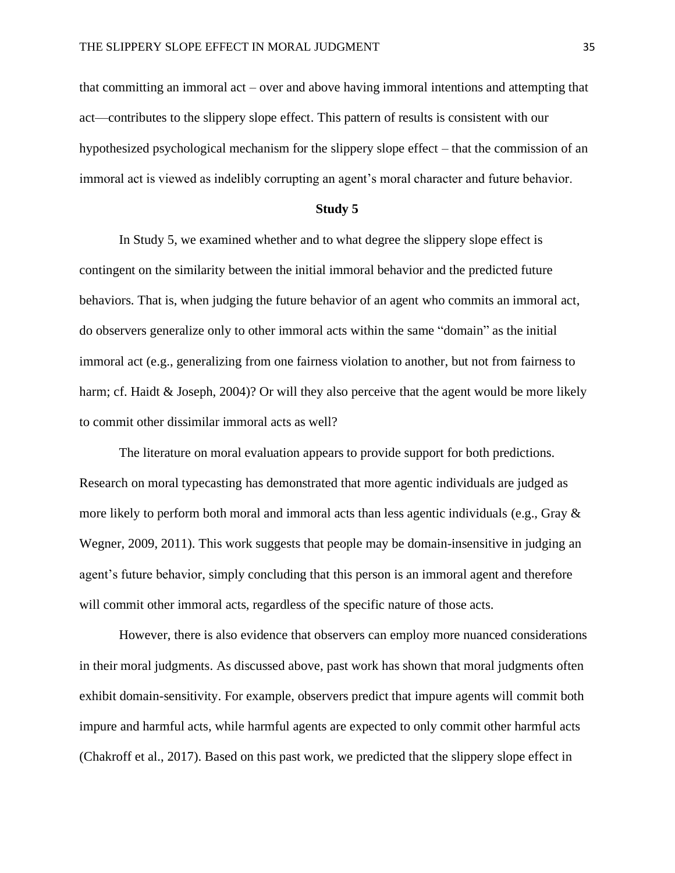that committing an immoral act – over and above having immoral intentions and attempting that act—contributes to the slippery slope effect. This pattern of results is consistent with our hypothesized psychological mechanism for the slippery slope effect – that the commission of an immoral act is viewed as indelibly corrupting an agent's moral character and future behavior.

# **Study 5**

In Study 5, we examined whether and to what degree the slippery slope effect is contingent on the similarity between the initial immoral behavior and the predicted future behaviors. That is, when judging the future behavior of an agent who commits an immoral act, do observers generalize only to other immoral acts within the same "domain" as the initial immoral act (e.g., generalizing from one fairness violation to another, but not from fairness to harm; cf. Haidt & Joseph, 2004)? Or will they also perceive that the agent would be more likely to commit other dissimilar immoral acts as well?

The literature on moral evaluation appears to provide support for both predictions. Research on moral typecasting has demonstrated that more agentic individuals are judged as more likely to perform both moral and immoral acts than less agentic individuals (e.g., Gray  $\&$ Wegner, 2009, 2011). This work suggests that people may be domain-insensitive in judging an agent's future behavior, simply concluding that this person is an immoral agent and therefore will commit other immoral acts, regardless of the specific nature of those acts.

However, there is also evidence that observers can employ more nuanced considerations in their moral judgments. As discussed above, past work has shown that moral judgments often exhibit domain-sensitivity. For example, observers predict that impure agents will commit both impure and harmful acts, while harmful agents are expected to only commit other harmful acts (Chakroff et al., 2017). Based on this past work, we predicted that the slippery slope effect in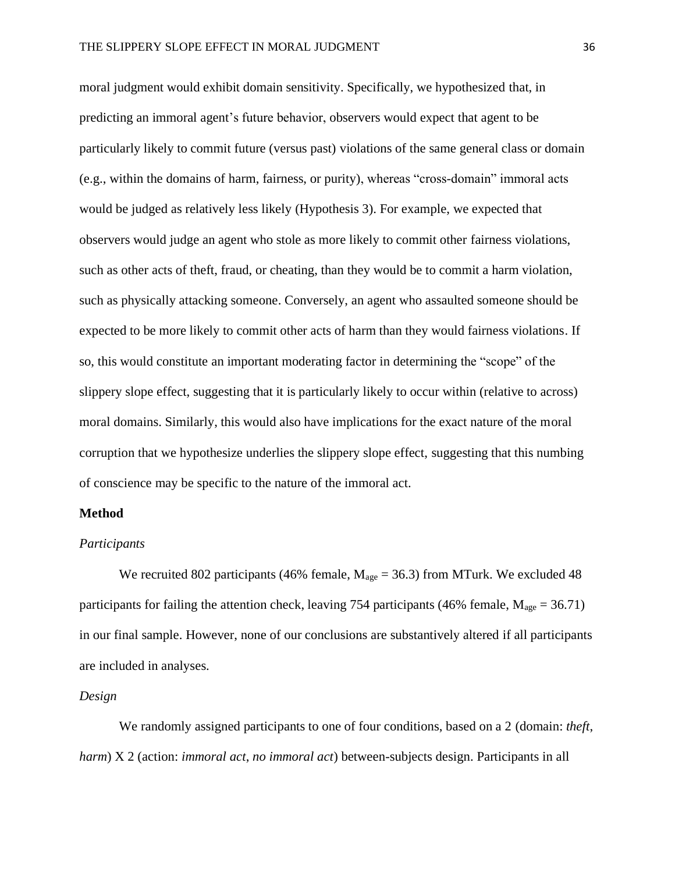moral judgment would exhibit domain sensitivity. Specifically, we hypothesized that, in predicting an immoral agent's future behavior, observers would expect that agent to be particularly likely to commit future (versus past) violations of the same general class or domain (e.g., within the domains of harm, fairness, or purity), whereas "cross-domain" immoral acts would be judged as relatively less likely (Hypothesis 3). For example, we expected that observers would judge an agent who stole as more likely to commit other fairness violations, such as other acts of theft, fraud, or cheating, than they would be to commit a harm violation, such as physically attacking someone. Conversely, an agent who assaulted someone should be expected to be more likely to commit other acts of harm than they would fairness violations. If so, this would constitute an important moderating factor in determining the "scope" of the slippery slope effect, suggesting that it is particularly likely to occur within (relative to across) moral domains. Similarly, this would also have implications for the exact nature of the moral corruption that we hypothesize underlies the slippery slope effect, suggesting that this numbing of conscience may be specific to the nature of the immoral act.

## **Method**

#### *Participants*

We recruited 802 participants (46% female,  $M_{\text{age}} = 36.3$ ) from MTurk. We excluded 48 participants for failing the attention check, leaving 754 participants (46% female,  $M_{\text{age}} = 36.71$ ) in our final sample. However, none of our conclusions are substantively altered if all participants are included in analyses.

# *Design*

We randomly assigned participants to one of four conditions, based on a 2 (domain: *theft*, *harm*) X 2 (action: *immoral act*, *no immoral act*) between-subjects design. Participants in all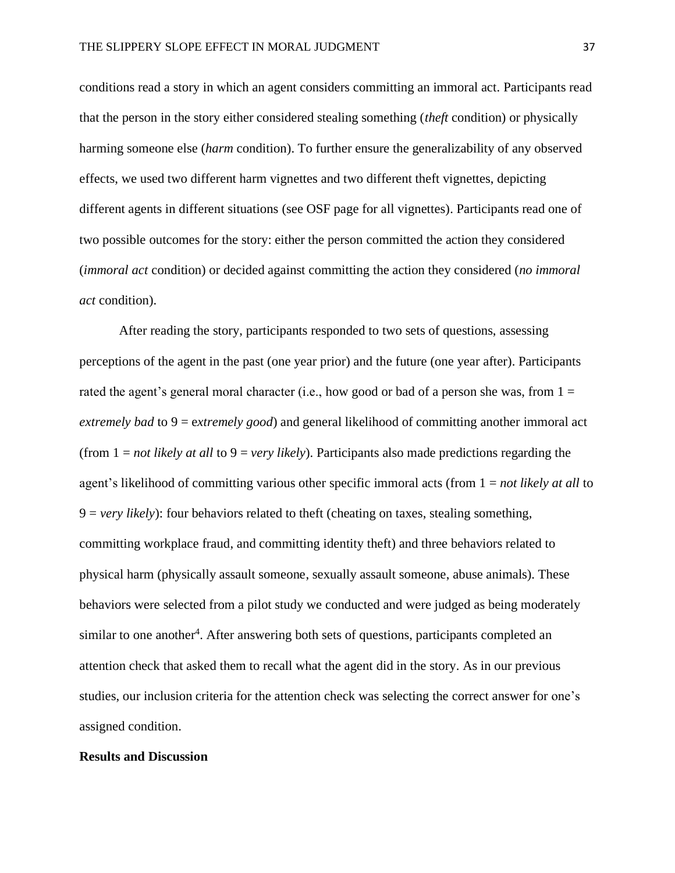conditions read a story in which an agent considers committing an immoral act. Participants read that the person in the story either considered stealing something (*theft* condition) or physically harming someone else (*harm* condition). To further ensure the generalizability of any observed effects, we used two different harm vignettes and two different theft vignettes, depicting different agents in different situations (see OSF page for all vignettes). Participants read one of two possible outcomes for the story: either the person committed the action they considered (*immoral act* condition) or decided against committing the action they considered (*no immoral act* condition).

After reading the story, participants responded to two sets of questions, assessing perceptions of the agent in the past (one year prior) and the future (one year after). Participants rated the agent's general moral character (i.e., how good or bad of a person she was, from  $1 =$ *extremely bad* to 9 = e*xtremely good*) and general likelihood of committing another immoral act (from 1 = *not likely at all* to 9 = *very likely*). Participants also made predictions regarding the agent's likelihood of committing various other specific immoral acts (from 1 = *not likely at all* to 9 = *very likely*): four behaviors related to theft (cheating on taxes, stealing something, committing workplace fraud, and committing identity theft) and three behaviors related to physical harm (physically assault someone, sexually assault someone, abuse animals). These behaviors were selected from a pilot study we conducted and were judged as being moderately similar to one another<sup>4</sup>. After answering both sets of questions, participants completed an attention check that asked them to recall what the agent did in the story. As in our previous studies, our inclusion criteria for the attention check was selecting the correct answer for one's assigned condition.

#### **Results and Discussion**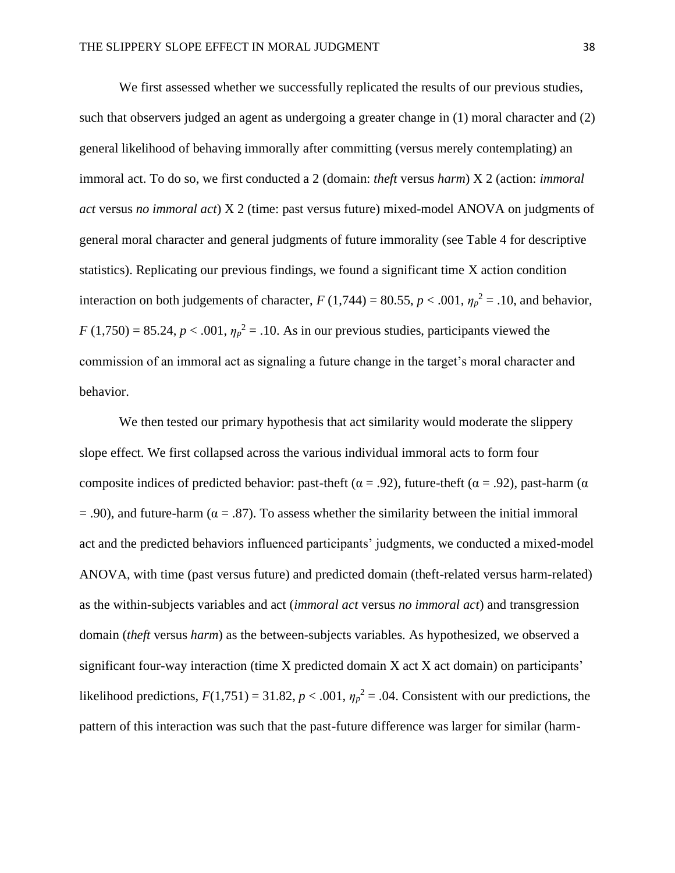We first assessed whether we successfully replicated the results of our previous studies, such that observers judged an agent as undergoing a greater change in (1) moral character and (2) general likelihood of behaving immorally after committing (versus merely contemplating) an immoral act. To do so, we first conducted a 2 (domain: *theft* versus *harm*) X 2 (action: *immoral act* versus *no immoral act*) X 2 (time: past versus future) mixed-model ANOVA on judgments of general moral character and general judgments of future immorality (see Table 4 for descriptive statistics). Replicating our previous findings, we found a significant time X action condition interaction on both judgements of character,  $F(1,744) = 80.55$ ,  $p < .001$ ,  $\eta_p^2 = .10$ , and behavior,  $F(1,750) = 85.24, p < .001, \eta_p^2 = .10$ . As in our previous studies, participants viewed the commission of an immoral act as signaling a future change in the target's moral character and behavior.

We then tested our primary hypothesis that act similarity would moderate the slippery slope effect. We first collapsed across the various individual immoral acts to form four composite indices of predicted behavior: past-theft ( $\alpha$  = .92), future-theft ( $\alpha$  = .92), past-harm ( $\alpha$  $=$  .90), and future-harm ( $\alpha = .87$ ). To assess whether the similarity between the initial immoral act and the predicted behaviors influenced participants' judgments, we conducted a mixed-model ANOVA, with time (past versus future) and predicted domain (theft-related versus harm-related) as the within-subjects variables and act (*immoral act* versus *no immoral act*) and transgression domain (*theft* versus *harm*) as the between-subjects variables. As hypothesized, we observed a significant four-way interaction (time X predicted domain X act X act domain) on participants' likelihood predictions,  $F(1,751) = 31.82$ ,  $p < .001$ ,  $\eta_p^2 = .04$ . Consistent with our predictions, the pattern of this interaction was such that the past-future difference was larger for similar (harm-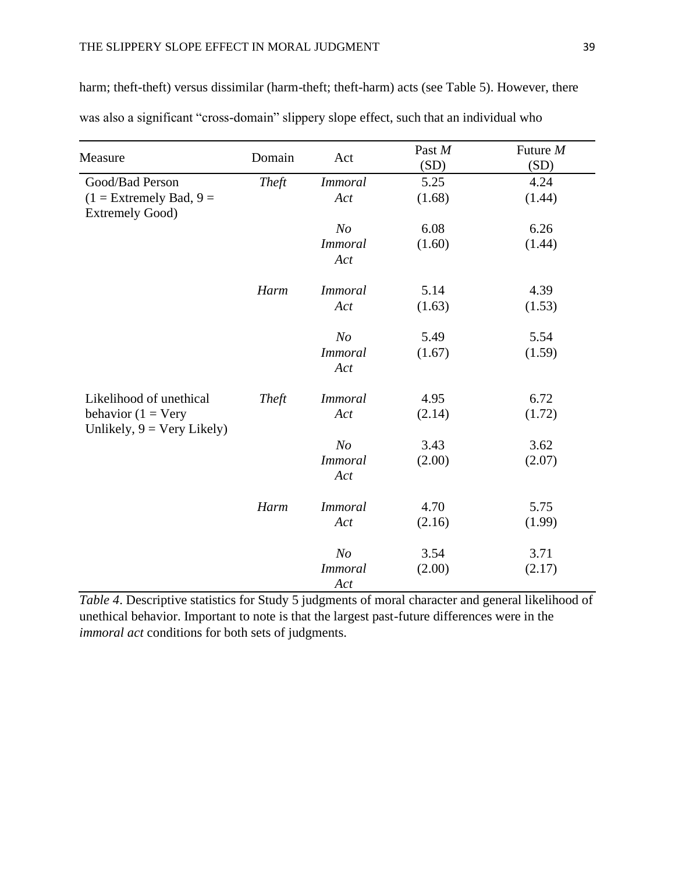| harm; theft-theft) versus dissimilar (harm-theft; theft-harm) acts (see Table 5). However, there |  |  |
|--------------------------------------------------------------------------------------------------|--|--|

| was also a significant "cross-domain" slippery slope effect, such that an individual who |  |  |  |
|------------------------------------------------------------------------------------------|--|--|--|
|                                                                                          |  |  |  |

| Measure                                                      | Domain | Act                   | Past M<br>(SD) | Future M<br>(SD) |
|--------------------------------------------------------------|--------|-----------------------|----------------|------------------|
| Good/Bad Person                                              | Theft  | <b>Immoral</b>        | 5.25           | 4.24             |
| $(1 =$ Extremely Bad, $9 =$<br><b>Extremely Good)</b>        |        | Act                   | (1.68)         | (1.44)           |
|                                                              |        | N <sub>O</sub>        | 6.08           | 6.26             |
|                                                              |        | <b>Immoral</b><br>Act | (1.60)         | (1.44)           |
|                                                              | Harm   | <b>Immoral</b>        | 5.14           | 4.39             |
|                                                              |        | Act                   | (1.63)         | (1.53)           |
|                                                              |        | N <sub>O</sub>        | 5.49           | 5.54             |
|                                                              |        | <b>Immoral</b><br>Act | (1.67)         | (1.59)           |
| Likelihood of unethical                                      | Theft  | <i>Immoral</i>        | 4.95           | 6.72             |
| behavior ( $1 = V$ ery<br>Unlikely, $9 = \text{Very Likely}$ |        | Act                   | (2.14)         | (1.72)           |
|                                                              |        | N <sub>o</sub>        | 3.43           | 3.62             |
|                                                              |        | <b>Immoral</b><br>Act | (2.00)         | (2.07)           |
|                                                              | Harm   | <i>Immoral</i>        | 4.70           | 5.75             |
|                                                              |        | Act                   | (2.16)         | (1.99)           |
|                                                              |        | N <sub>O</sub>        | 3.54           | 3.71             |
|                                                              |        | <b>Immoral</b><br>Act | (2.00)         | (2.17)           |

*Table 4*. Descriptive statistics for Study 5 judgments of moral character and general likelihood of unethical behavior. Important to note is that the largest past-future differences were in the *immoral act* conditions for both sets of judgments.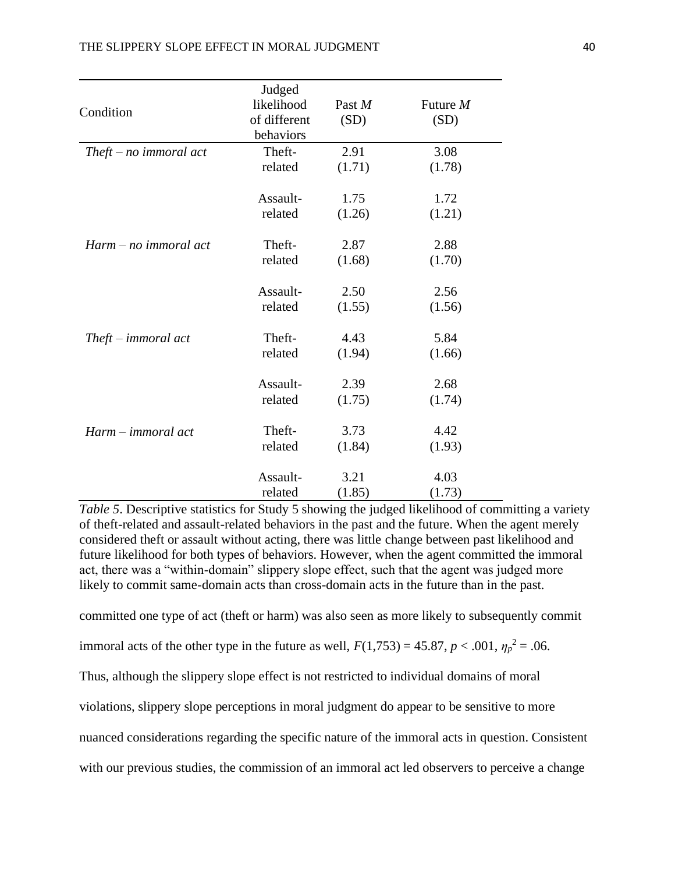|                                       | Judged       |        |          |
|---------------------------------------|--------------|--------|----------|
| Condition                             | likelihood   | Past M | Future M |
|                                       | of different | (SD)   | (SD)     |
|                                       | behaviors    |        |          |
| $The ft-no\text{ }inmoral\text{ }act$ | Theft-       | 2.91   | 3.08     |
|                                       | related      | (1.71) | (1.78)   |
|                                       | Assault-     | 1.75   | 1.72     |
|                                       | related      | (1.26) | (1.21)   |
| Harm – no immoral act                 | Theft-       | 2.87   | 2.88     |
|                                       | related      | (1.68) | (1.70)   |
|                                       | Assault-     | 2.50   | 2.56     |
|                                       | related      | (1.55) | (1.56)   |
| $The ft - \text{immoral act}$         | Theft-       | 4.43   | 5.84     |
|                                       | related      | (1.94) | (1.66)   |
|                                       | Assault-     | 2.39   | 2.68     |
|                                       | related      | (1.75) | (1.74)   |
| Harm – immoral act                    | Theft-       | 3.73   | 4.42     |
|                                       | related      | (1.84) | (1.93)   |
|                                       | Assault-     | 3.21   | 4.03     |
|                                       | related      | (1.85) | (1.73)   |

*Table 5*. Descriptive statistics for Study 5 showing the judged likelihood of committing a variety of theft-related and assault-related behaviors in the past and the future. When the agent merely considered theft or assault without acting, there was little change between past likelihood and future likelihood for both types of behaviors. However, when the agent committed the immoral act, there was a "within-domain" slippery slope effect, such that the agent was judged more likely to commit same-domain acts than cross-domain acts in the future than in the past.

committed one type of act (theft or harm) was also seen as more likely to subsequently commit

immoral acts of the other type in the future as well,  $F(1,753) = 45.87$ ,  $p < .001$ ,  $\eta_p^2 = .06$ .

Thus, although the slippery slope effect is not restricted to individual domains of moral

violations, slippery slope perceptions in moral judgment do appear to be sensitive to more

nuanced considerations regarding the specific nature of the immoral acts in question. Consistent

with our previous studies, the commission of an immoral act led observers to perceive a change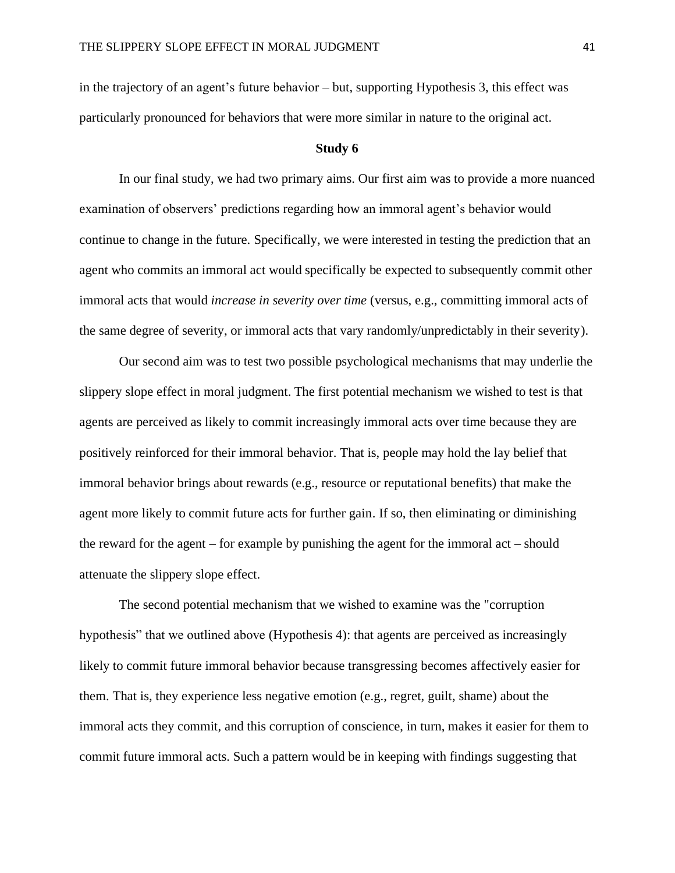in the trajectory of an agent's future behavior – but, supporting Hypothesis 3, this effect was particularly pronounced for behaviors that were more similar in nature to the original act.

#### **Study 6**

In our final study, we had two primary aims. Our first aim was to provide a more nuanced examination of observers' predictions regarding how an immoral agent's behavior would continue to change in the future. Specifically, we were interested in testing the prediction that an agent who commits an immoral act would specifically be expected to subsequently commit other immoral acts that would *increase in severity over time* (versus, e.g., committing immoral acts of the same degree of severity, or immoral acts that vary randomly/unpredictably in their severity).

Our second aim was to test two possible psychological mechanisms that may underlie the slippery slope effect in moral judgment. The first potential mechanism we wished to test is that agents are perceived as likely to commit increasingly immoral acts over time because they are positively reinforced for their immoral behavior. That is, people may hold the lay belief that immoral behavior brings about rewards (e.g., resource or reputational benefits) that make the agent more likely to commit future acts for further gain. If so, then eliminating or diminishing the reward for the agent – for example by punishing the agent for the immoral act – should attenuate the slippery slope effect.

The second potential mechanism that we wished to examine was the "corruption hypothesis" that we outlined above (Hypothesis 4): that agents are perceived as increasingly likely to commit future immoral behavior because transgressing becomes affectively easier for them. That is, they experience less negative emotion (e.g., regret, guilt, shame) about the immoral acts they commit, and this corruption of conscience, in turn, makes it easier for them to commit future immoral acts. Such a pattern would be in keeping with findings suggesting that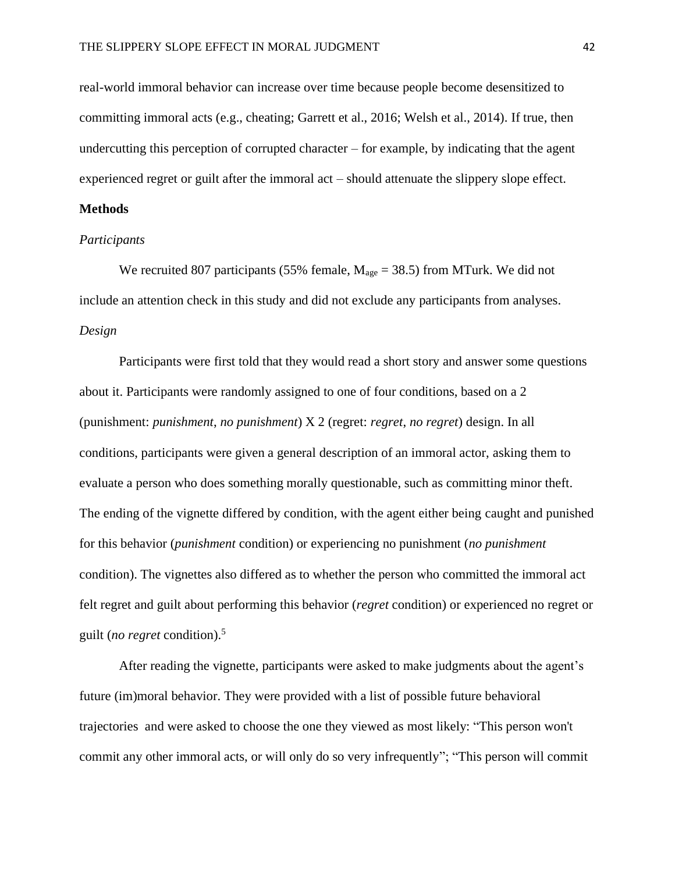real-world immoral behavior can increase over time because people become desensitized to committing immoral acts (e.g., cheating; Garrett et al., 2016; Welsh et al., 2014). If true, then undercutting this perception of corrupted character  $-$  for example, by indicating that the agent experienced regret or guilt after the immoral act – should attenuate the slippery slope effect.

# **Methods**

# *Participants*

We recruited 807 participants (55% female,  $M_{\text{age}} = 38.5$ ) from MTurk. We did not include an attention check in this study and did not exclude any participants from analyses. *Design*

Participants were first told that they would read a short story and answer some questions about it. Participants were randomly assigned to one of four conditions, based on a 2 (punishment: *punishment*, *no punishment*) X 2 (regret: *regret*, *no regret*) design. In all conditions, participants were given a general description of an immoral actor, asking them to evaluate a person who does something morally questionable, such as committing minor theft. The ending of the vignette differed by condition, with the agent either being caught and punished for this behavior (*punishment* condition) or experiencing no punishment (*no punishment* condition). The vignettes also differed as to whether the person who committed the immoral act felt regret and guilt about performing this behavior (*regret* condition) or experienced no regret or guilt (*no regret* condition). 5

After reading the vignette, participants were asked to make judgments about the agent's future (im)moral behavior. They were provided with a list of possible future behavioral trajectories and were asked to choose the one they viewed as most likely: "This person won't commit any other immoral acts, or will only do so very infrequently"; "This person will commit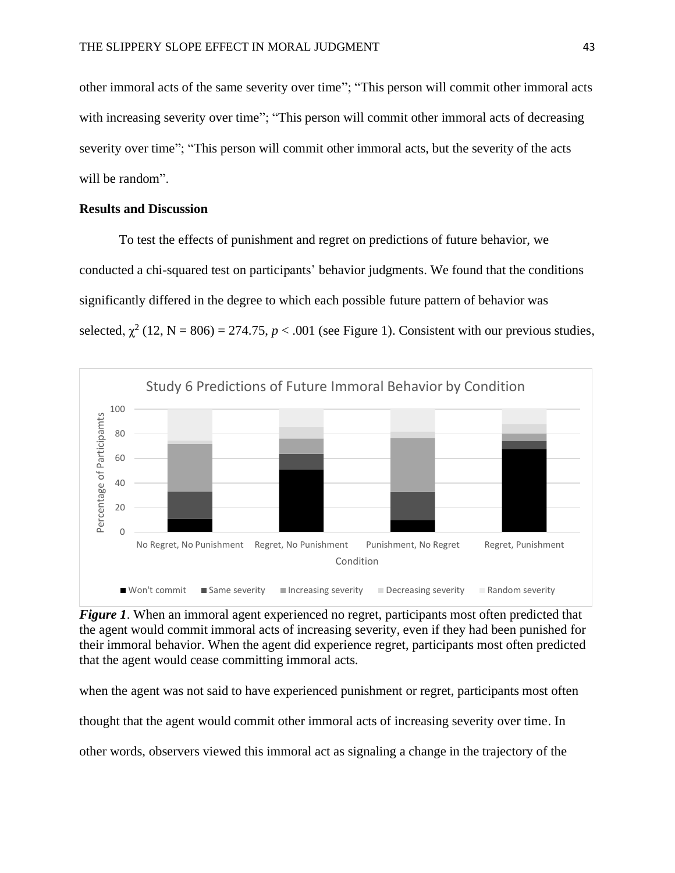other immoral acts of the same severity over time"; "This person will commit other immoral acts with increasing severity over time"; "This person will commit other immoral acts of decreasing severity over time"; "This person will commit other immoral acts, but the severity of the acts will be random".

# **Results and Discussion**

To test the effects of punishment and regret on predictions of future behavior, we conducted a chi-squared test on participants' behavior judgments. We found that the conditions significantly differed in the degree to which each possible future pattern of behavior was selected,  $\chi^2$  (12, N = 806) = 274.75, *p* < .001 (see Figure 1). Consistent with our previous studies,



*Figure 1*. When an immoral agent experienced no regret, participants most often predicted that the agent would commit immoral acts of increasing severity, even if they had been punished for their immoral behavior. When the agent did experience regret, participants most often predicted that the agent would cease committing immoral acts.

when the agent was not said to have experienced punishment or regret, participants most often

thought that the agent would commit other immoral acts of increasing severity over time. In

other words, observers viewed this immoral act as signaling a change in the trajectory of the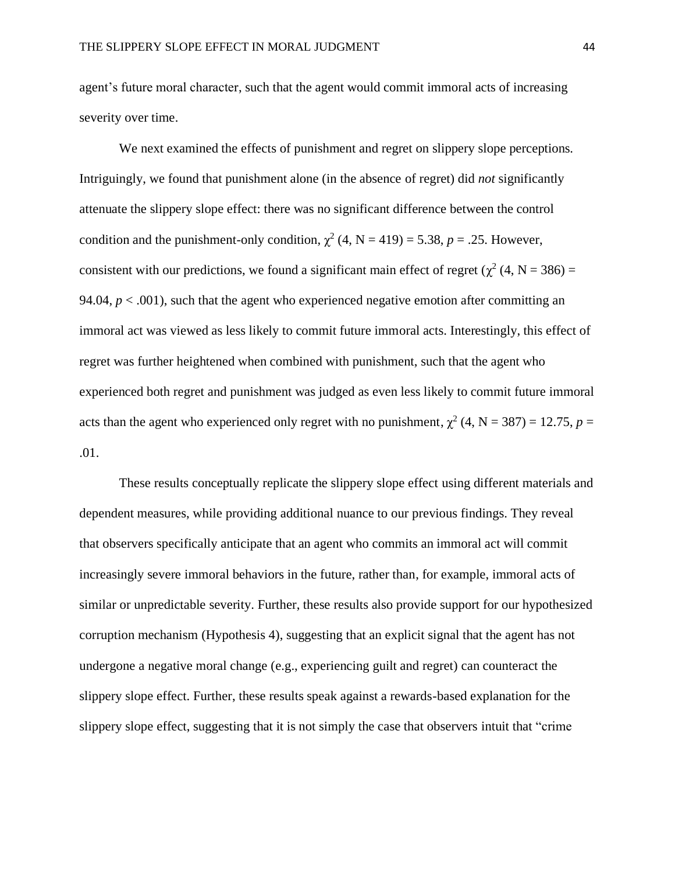agent's future moral character, such that the agent would commit immoral acts of increasing severity over time.

We next examined the effects of punishment and regret on slippery slope perceptions. Intriguingly, we found that punishment alone (in the absence of regret) did *not* significantly attenuate the slippery slope effect: there was no significant difference between the control condition and the punishment-only condition,  $\chi^2$  (4, N = 419) = 5.38, p = .25. However, consistent with our predictions, we found a significant main effect of regret ( $\chi^2$  (4, N = 386) = 94.04,  $p < .001$ ), such that the agent who experienced negative emotion after committing an immoral act was viewed as less likely to commit future immoral acts. Interestingly, this effect of regret was further heightened when combined with punishment, such that the agent who experienced both regret and punishment was judged as even less likely to commit future immoral acts than the agent who experienced only regret with no punishment,  $\chi^2$  (4, N = 387) = 12.75, p = .01.

These results conceptually replicate the slippery slope effect using different materials and dependent measures, while providing additional nuance to our previous findings. They reveal that observers specifically anticipate that an agent who commits an immoral act will commit increasingly severe immoral behaviors in the future, rather than, for example, immoral acts of similar or unpredictable severity. Further, these results also provide support for our hypothesized corruption mechanism (Hypothesis 4), suggesting that an explicit signal that the agent has not undergone a negative moral change (e.g., experiencing guilt and regret) can counteract the slippery slope effect. Further, these results speak against a rewards-based explanation for the slippery slope effect, suggesting that it is not simply the case that observers intuit that "crime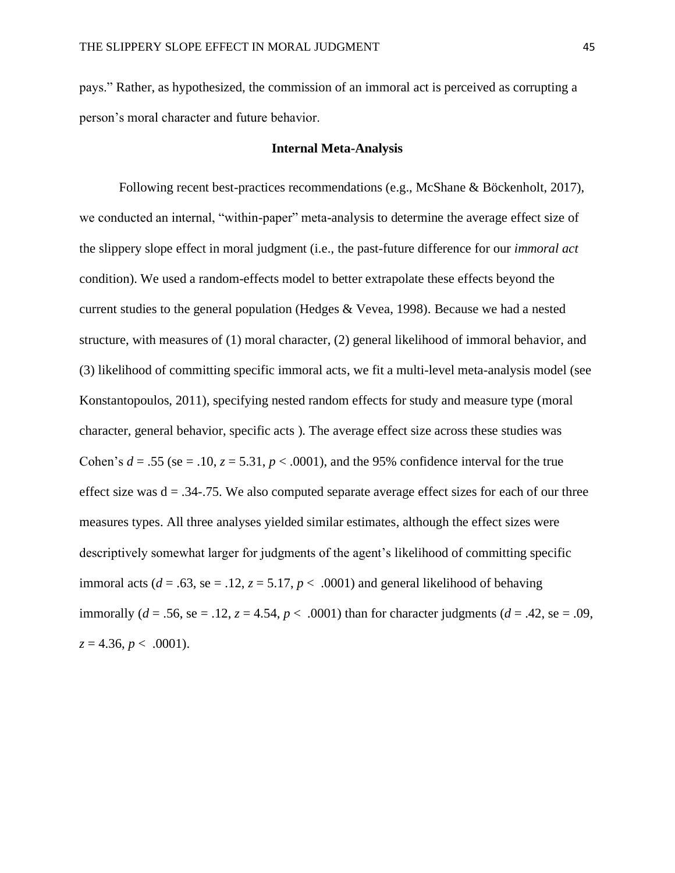pays." Rather, as hypothesized, the commission of an immoral act is perceived as corrupting a person's moral character and future behavior.

# **Internal Meta-Analysis**

Following recent best-practices recommendations (e.g., McShane & Böckenholt, 2017), we conducted an internal, "within-paper" meta-analysis to determine the average effect size of the slippery slope effect in moral judgment (i.e., the past-future difference for our *immoral act*  condition). We used a random-effects model to better extrapolate these effects beyond the current studies to the general population (Hedges & Vevea, 1998). Because we had a nested structure, with measures of (1) moral character, (2) general likelihood of immoral behavior, and (3) likelihood of committing specific immoral acts, we fit a multi-level meta-analysis model (see Konstantopoulos, 2011), specifying nested random effects for study and measure type (moral character, general behavior, specific acts ). The average effect size across these studies was Cohen's  $d = .55$  (se = .10,  $z = 5.31$ ,  $p < .0001$ ), and the 95% confidence interval for the true effect size was  $d = 0.34 - 0.75$ . We also computed separate average effect sizes for each of our three measures types. All three analyses yielded similar estimates, although the effect sizes were descriptively somewhat larger for judgments of the agent's likelihood of committing specific immoral acts ( $d = .63$ , se = .12,  $z = 5.17$ ,  $p < .0001$ ) and general likelihood of behaving immorally ( $d = .56$ , se = .12,  $z = 4.54$ ,  $p < .0001$ ) than for character judgments ( $d = .42$ , se = .09,  $z = 4.36, p < .0001$ ).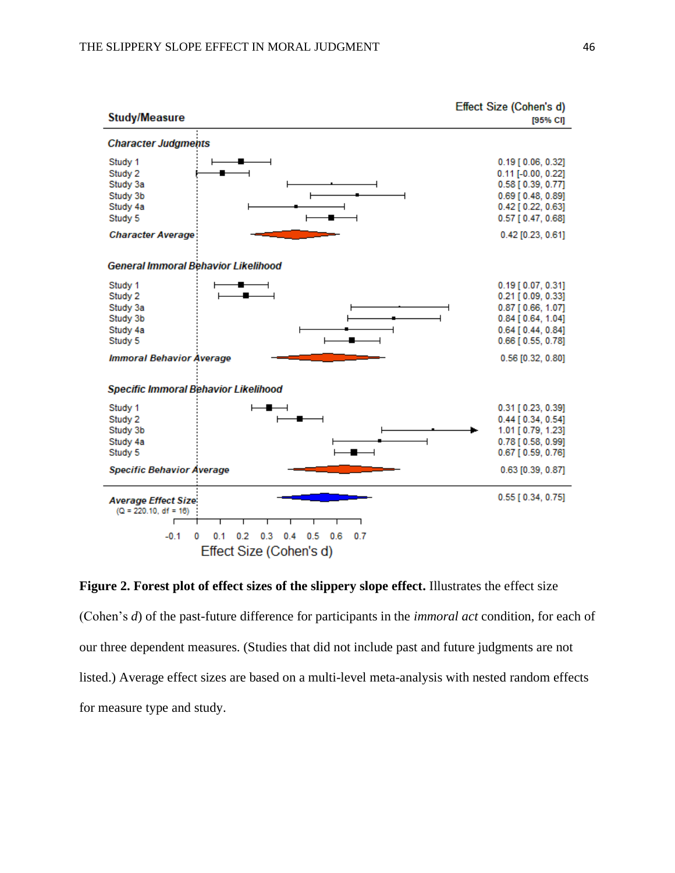

**Figure 2. Forest plot of effect sizes of the slippery slope effect.** Illustrates the effect size (Cohen's *d*) of the past-future difference for participants in the *immoral act* condition, for each of our three dependent measures. (Studies that did not include past and future judgments are not listed.) Average effect sizes are based on a multi-level meta-analysis with nested random effects for measure type and study.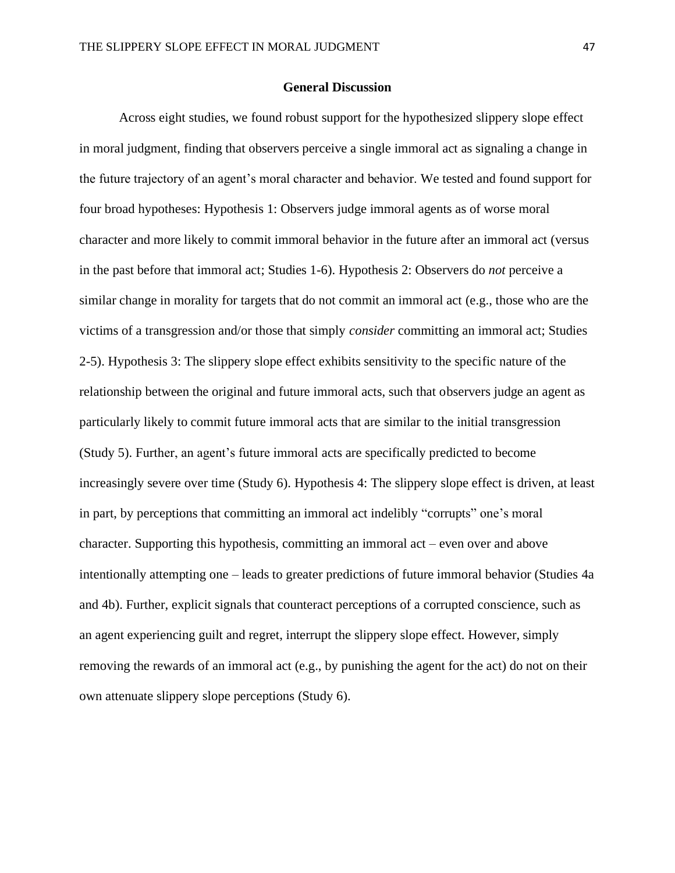# **General Discussion**

Across eight studies, we found robust support for the hypothesized slippery slope effect in moral judgment, finding that observers perceive a single immoral act as signaling a change in the future trajectory of an agent's moral character and behavior. We tested and found support for four broad hypotheses: Hypothesis 1: Observers judge immoral agents as of worse moral character and more likely to commit immoral behavior in the future after an immoral act (versus in the past before that immoral act; Studies 1-6). Hypothesis 2: Observers do *not* perceive a similar change in morality for targets that do not commit an immoral act (e.g., those who are the victims of a transgression and/or those that simply *consider* committing an immoral act; Studies 2-5). Hypothesis 3: The slippery slope effect exhibits sensitivity to the specific nature of the relationship between the original and future immoral acts, such that observers judge an agent as particularly likely to commit future immoral acts that are similar to the initial transgression (Study 5). Further, an agent's future immoral acts are specifically predicted to become increasingly severe over time (Study 6). Hypothesis 4: The slippery slope effect is driven, at least in part, by perceptions that committing an immoral act indelibly "corrupts" one's moral character. Supporting this hypothesis, committing an immoral act – even over and above intentionally attempting one – leads to greater predictions of future immoral behavior (Studies 4a and 4b). Further, explicit signals that counteract perceptions of a corrupted conscience, such as an agent experiencing guilt and regret, interrupt the slippery slope effect. However, simply removing the rewards of an immoral act (e.g., by punishing the agent for the act) do not on their own attenuate slippery slope perceptions (Study 6).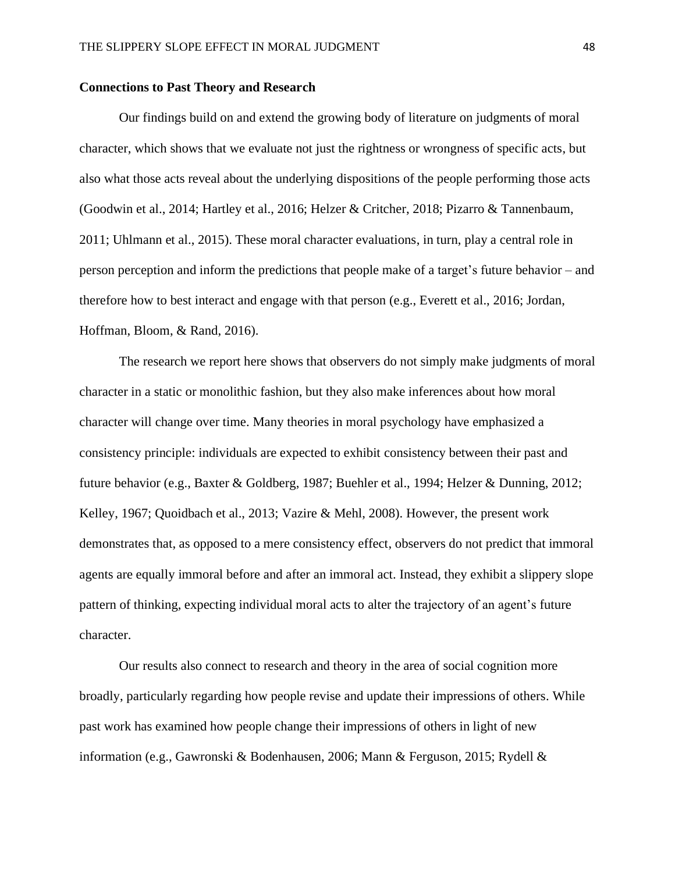# **Connections to Past Theory and Research**

Our findings build on and extend the growing body of literature on judgments of moral character, which shows that we evaluate not just the rightness or wrongness of specific acts, but also what those acts reveal about the underlying dispositions of the people performing those acts (Goodwin et al., 2014; Hartley et al., 2016; Helzer & Critcher, 2018; Pizarro & Tannenbaum, 2011; Uhlmann et al., 2015). These moral character evaluations, in turn, play a central role in person perception and inform the predictions that people make of a target's future behavior – and therefore how to best interact and engage with that person (e.g., Everett et al., 2016; Jordan, Hoffman, Bloom, & Rand, 2016).

The research we report here shows that observers do not simply make judgments of moral character in a static or monolithic fashion, but they also make inferences about how moral character will change over time. Many theories in moral psychology have emphasized a consistency principle: individuals are expected to exhibit consistency between their past and future behavior (e.g., Baxter & Goldberg, 1987; Buehler et al., 1994; Helzer & Dunning, 2012; Kelley, 1967; Quoidbach et al., 2013; Vazire & Mehl, 2008). However, the present work demonstrates that, as opposed to a mere consistency effect, observers do not predict that immoral agents are equally immoral before and after an immoral act. Instead, they exhibit a slippery slope pattern of thinking, expecting individual moral acts to alter the trajectory of an agent's future character.

Our results also connect to research and theory in the area of social cognition more broadly, particularly regarding how people revise and update their impressions of others. While past work has examined how people change their impressions of others in light of new information (e.g., Gawronski & Bodenhausen, 2006; Mann & Ferguson, 2015; Rydell &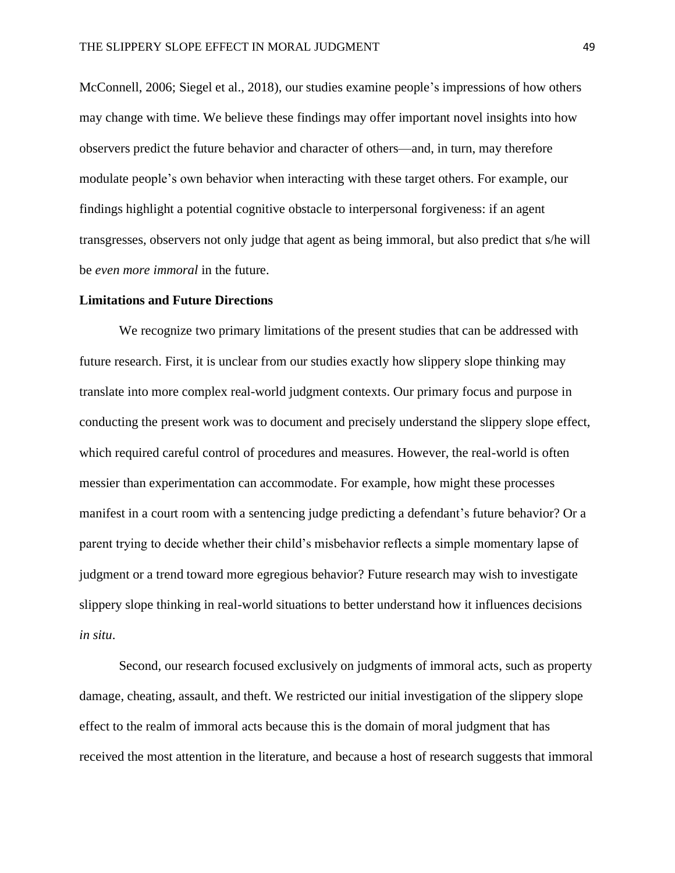McConnell, 2006; Siegel et al., 2018), our studies examine people's impressions of how others may change with time. We believe these findings may offer important novel insights into how observers predict the future behavior and character of others—and, in turn, may therefore modulate people's own behavior when interacting with these target others. For example, our findings highlight a potential cognitive obstacle to interpersonal forgiveness: if an agent transgresses, observers not only judge that agent as being immoral, but also predict that s/he will be *even more immoral* in the future.

## **Limitations and Future Directions**

We recognize two primary limitations of the present studies that can be addressed with future research. First, it is unclear from our studies exactly how slippery slope thinking may translate into more complex real-world judgment contexts. Our primary focus and purpose in conducting the present work was to document and precisely understand the slippery slope effect, which required careful control of procedures and measures. However, the real-world is often messier than experimentation can accommodate. For example, how might these processes manifest in a court room with a sentencing judge predicting a defendant's future behavior? Or a parent trying to decide whether their child's misbehavior reflects a simple momentary lapse of judgment or a trend toward more egregious behavior? Future research may wish to investigate slippery slope thinking in real-world situations to better understand how it influences decisions *in situ*.

Second, our research focused exclusively on judgments of immoral acts, such as property damage, cheating, assault, and theft. We restricted our initial investigation of the slippery slope effect to the realm of immoral acts because this is the domain of moral judgment that has received the most attention in the literature, and because a host of research suggests that immoral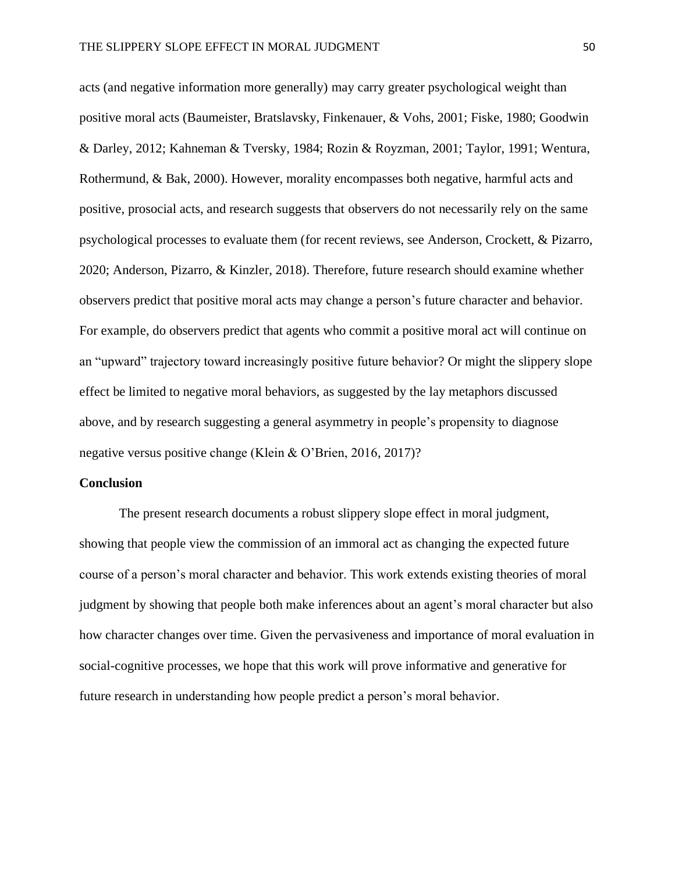acts (and negative information more generally) may carry greater psychological weight than positive moral acts (Baumeister, Bratslavsky, Finkenauer, & Vohs, 2001; Fiske, 1980; Goodwin & Darley, 2012; Kahneman & Tversky, 1984; Rozin & Royzman, 2001; Taylor, 1991; Wentura, Rothermund, & Bak, 2000). However, morality encompasses both negative, harmful acts and positive, prosocial acts, and research suggests that observers do not necessarily rely on the same psychological processes to evaluate them (for recent reviews, see Anderson, Crockett, & Pizarro, 2020; Anderson, Pizarro, & Kinzler, 2018). Therefore, future research should examine whether observers predict that positive moral acts may change a person's future character and behavior. For example, do observers predict that agents who commit a positive moral act will continue on an "upward" trajectory toward increasingly positive future behavior? Or might the slippery slope effect be limited to negative moral behaviors, as suggested by the lay metaphors discussed above, and by research suggesting a general asymmetry in people's propensity to diagnose negative versus positive change (Klein & O'Brien, 2016, 2017)?

#### **Conclusion**

The present research documents a robust slippery slope effect in moral judgment, showing that people view the commission of an immoral act as changing the expected future course of a person's moral character and behavior. This work extends existing theories of moral judgment by showing that people both make inferences about an agent's moral character but also how character changes over time. Given the pervasiveness and importance of moral evaluation in social-cognitive processes, we hope that this work will prove informative and generative for future research in understanding how people predict a person's moral behavior.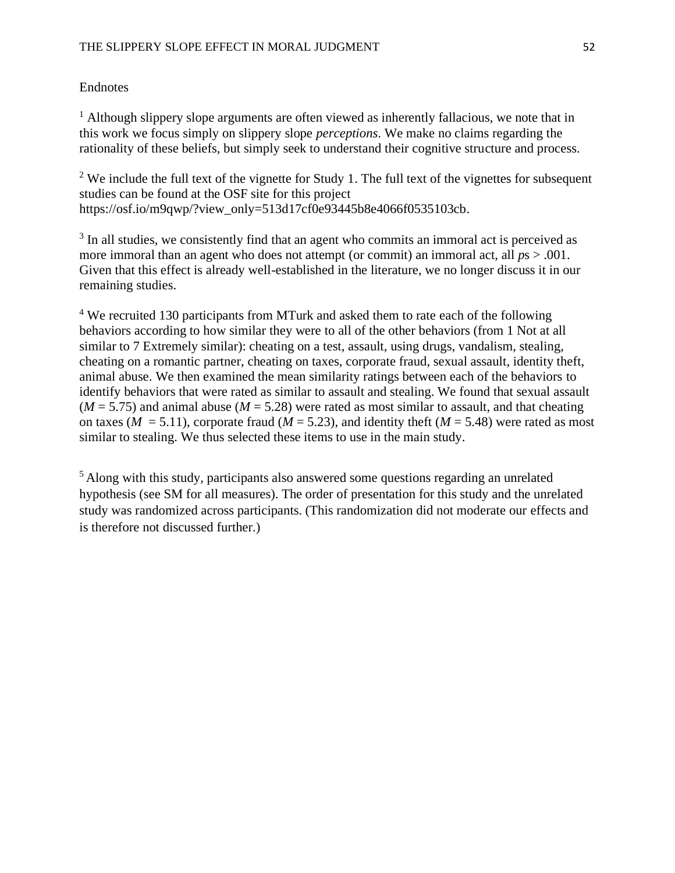# **Endnotes**

 $<sup>1</sup>$  Although slippery slope arguments are often viewed as inherently fallacious, we note that in</sup> this work we focus simply on slippery slope *perceptions*. We make no claims regarding the rationality of these beliefs, but simply seek to understand their cognitive structure and process.

<sup>2</sup> We include the full text of the vignette for Study 1. The full text of the vignettes for subsequent studies can be found at the OSF site for this project https://osf.io/m9qwp/?view\_only=513d17cf0e93445b8e4066f0535103cb.

<sup>3</sup> In all studies, we consistently find that an agent who commits an immoral act is perceived as more immoral than an agent who does not attempt (or commit) an immoral act, all  $ps > .001$ . Given that this effect is already well-established in the literature, we no longer discuss it in our remaining studies.

<sup>4</sup> We recruited 130 participants from MTurk and asked them to rate each of the following behaviors according to how similar they were to all of the other behaviors (from 1 Not at all similar to 7 Extremely similar): cheating on a test, assault, using drugs, vandalism, stealing, cheating on a romantic partner, cheating on taxes, corporate fraud, sexual assault, identity theft, animal abuse. We then examined the mean similarity ratings between each of the behaviors to identify behaviors that were rated as similar to assault and stealing. We found that sexual assault  $(M = 5.75)$  and animal abuse  $(M = 5.28)$  were rated as most similar to assault, and that cheating on taxes ( $M = 5.11$ ), corporate fraud ( $M = 5.23$ ), and identity theft ( $M = 5.48$ ) were rated as most similar to stealing. We thus selected these items to use in the main study.

<sup>5</sup> Along with this study, participants also answered some questions regarding an unrelated hypothesis (see SM for all measures). The order of presentation for this study and the unrelated study was randomized across participants. (This randomization did not moderate our effects and is therefore not discussed further.)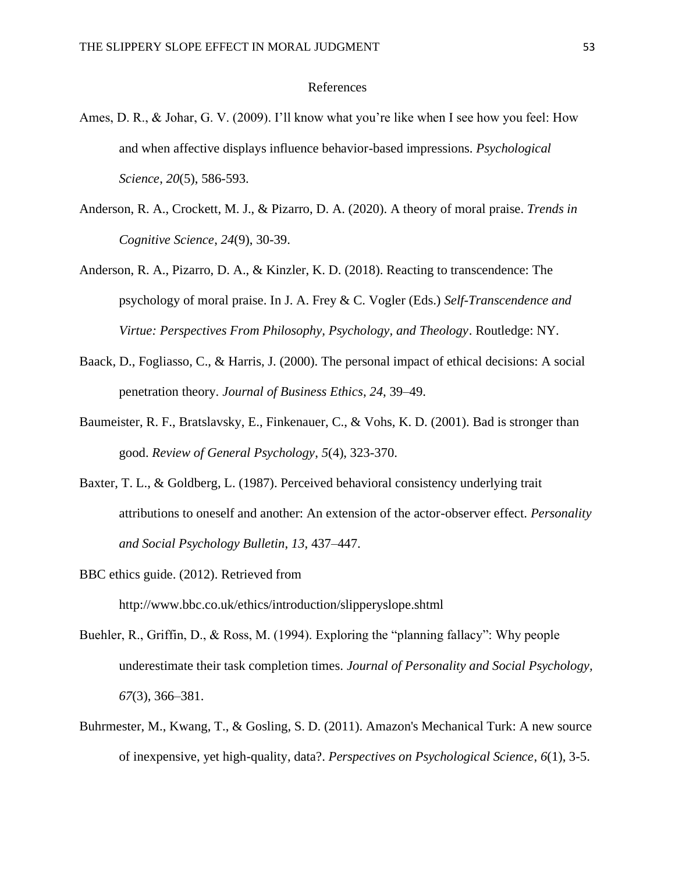## References

- Ames, D. R., & Johar, G. V. (2009). I'll know what you're like when I see how you feel: How and when affective displays influence behavior-based impressions. *Psychological Science*, *20*(5), 586-593.
- Anderson, R. A., Crockett, M. J., & Pizarro, D. A. (2020). A theory of moral praise. *Trends in Cognitive Science*, *24*(9), 30-39.
- Anderson, R. A., Pizarro, D. A., & Kinzler, K. D. (2018). Reacting to transcendence: The psychology of moral praise. In J. A. Frey & C. Vogler (Eds.) *Self-Transcendence and Virtue: Perspectives From Philosophy, Psychology, and Theology*. Routledge: NY.
- Baack, D., Fogliasso, C., & Harris, J. (2000). The personal impact of ethical decisions: A social penetration theory. *Journal of Business Ethics*, *24*, 39–49.
- Baumeister, R. F., Bratslavsky, E., Finkenauer, C., & Vohs, K. D. (2001). Bad is stronger than good. *Review of General Psychology*, *5*(4), 323-370.
- Baxter, T. L., & Goldberg, L. (1987). Perceived behavioral consistency underlying trait attributions to oneself and another: An extension of the actor-observer effect. *Personality and Social Psychology Bulletin*, *13*, 437–447.
- BBC ethics guide. (2012). Retrieved from http://www.bbc.co.uk/ethics/introduction/slipperyslope.shtml
- Buehler, R., Griffin, D., & Ross, M. (1994). Exploring the "planning fallacy": Why people underestimate their task completion times. *Journal of Personality and Social Psychology, 67*(3)*,* 366–381.
- Buhrmester, M., Kwang, T., & Gosling, S. D. (2011). Amazon's Mechanical Turk: A new source of inexpensive, yet high-quality, data?. *Perspectives on Psychological Science*, *6*(1), 3-5.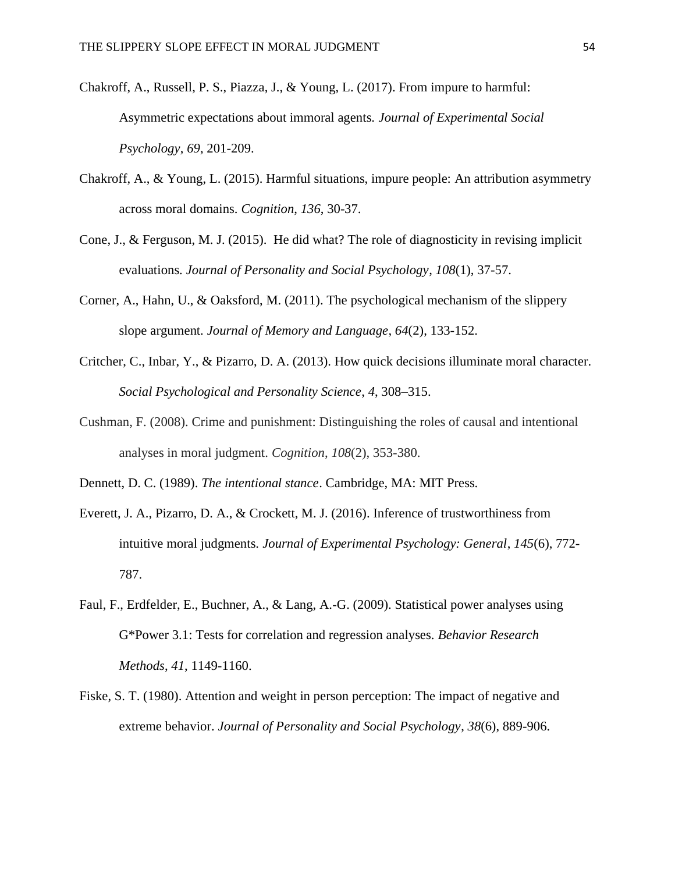- Chakroff, A., Russell, P. S., Piazza, J., & Young, L. (2017). From impure to harmful: Asymmetric expectations about immoral agents. *Journal of Experimental Social Psychology*, *69*, 201-209.
- Chakroff, A., & Young, L. (2015). Harmful situations, impure people: An attribution asymmetry across moral domains. *Cognition*, *136*, 30-37.
- Cone, J., & Ferguson, M. J. (2015). He did what? The role of diagnosticity in revising implicit evaluations. *Journal of Personality and Social Psychology*, *108*(1), 37-57.
- Corner, A., Hahn, U., & Oaksford, M. (2011). The psychological mechanism of the slippery slope argument. *Journal of Memory and Language*, *64*(2), 133-152.
- Critcher, C., Inbar, Y., & Pizarro, D. A. (2013). How quick decisions illuminate moral character. *Social Psychological and Personality Science*, *4*, 308–315.
- Cushman, F. (2008). Crime and punishment: Distinguishing the roles of causal and intentional analyses in moral judgment. *Cognition*, *108*(2), 353-380.
- Dennett, D. C. (1989). *The intentional stance*. Cambridge, MA: MIT Press.
- Everett, J. A., Pizarro, D. A., & Crockett, M. J. (2016). Inference of trustworthiness from intuitive moral judgments. *Journal of Experimental Psychology: General*, *145*(6), 772- 787.
- Faul, F., Erdfelder, E., Buchner, A., & Lang, A.-G. (2009). Statistical power analyses using G\*Power 3.1: Tests for correlation and regression analyses. *Behavior Research Methods*, *41*, 1149-1160.
- Fiske, S. T. (1980). Attention and weight in person perception: The impact of negative and extreme behavior. *Journal of Personality and Social Psychology*, *38*(6), 889-906.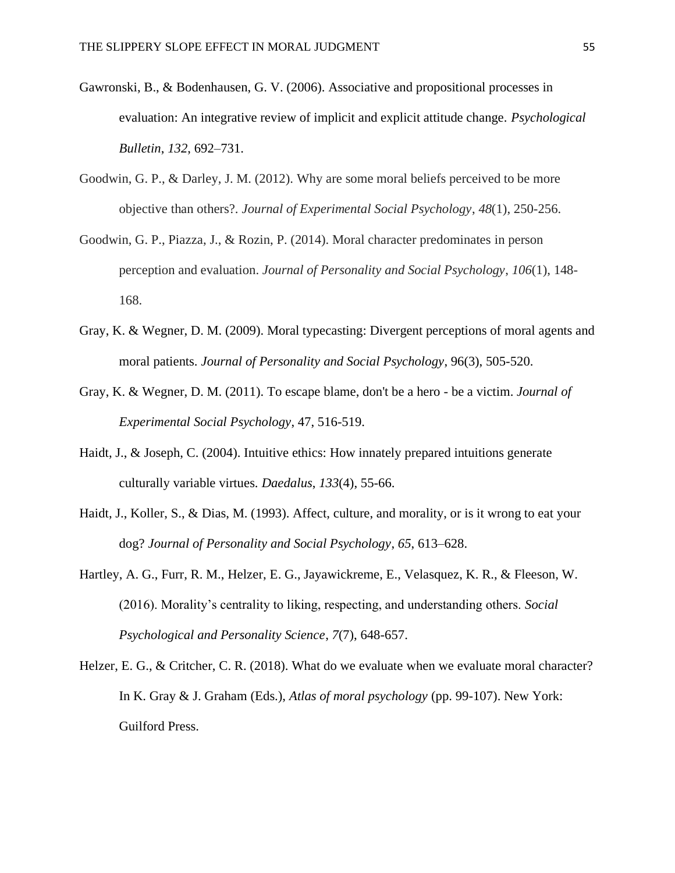- Gawronski, B., & Bodenhausen, G. V. (2006). Associative and propositional processes in evaluation: An integrative review of implicit and explicit attitude change. *Psychological Bulletin*, *132*, 692–731.
- Goodwin, G. P., & Darley, J. M. (2012). Why are some moral beliefs perceived to be more objective than others?. *Journal of Experimental Social Psychology*, *48*(1), 250-256.
- Goodwin, G. P., Piazza, J., & Rozin, P. (2014). Moral character predominates in person perception and evaluation. *Journal of Personality and Social Psychology*, *106*(1), 148- 168.
- Gray, K. & Wegner, D. M. (2009). Moral typecasting: Divergent perceptions of moral agents and moral patients. *Journal of Personality and Social Psychology*, 96(3), 505-520.
- Gray, K. & Wegner, D. M. (2011). To escape blame, don't be a hero be a victim. *Journal of Experimental Social Psychology*, 47, 516-519.
- Haidt, J., & Joseph, C. (2004). Intuitive ethics: How innately prepared intuitions generate culturally variable virtues. *Daedalus*, *133*(4), 55-66.
- Haidt, J., Koller, S., & Dias, M. (1993). Affect, culture, and morality, or is it wrong to eat your dog? *Journal of Personality and Social Psychology*, *65*, 613–628.
- Hartley, A. G., Furr, R. M., Helzer, E. G., Jayawickreme, E., Velasquez, K. R., & Fleeson, W. (2016). Morality's centrality to liking, respecting, and understanding others. *Social Psychological and Personality Science*, *7*(7), 648-657.
- Helzer, E. G., & Critcher, C. R. (2018). What do we evaluate when we evaluate moral character? In K. Gray & J. Graham (Eds.), *Atlas of moral psychology* (pp. 99-107). New York: Guilford Press.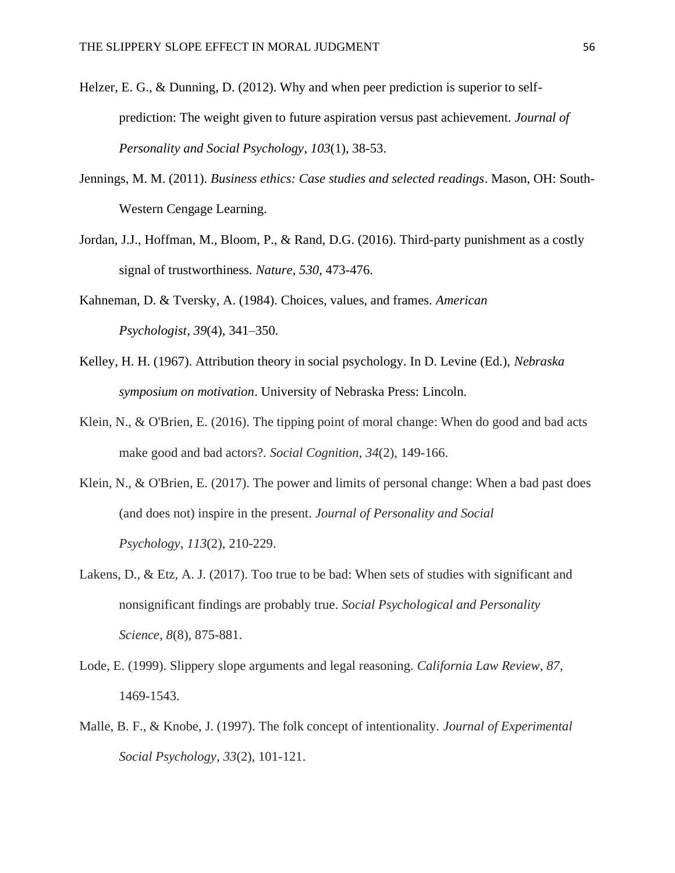- Helzer, E. G., & Dunning, D. (2012). Why and when peer prediction is superior to selfprediction: The weight given to future aspiration versus past achievement. *Journal of Personality and Social Psychology*, *103*(1), 38-53.
- Jennings, M. M. (2011). *Business ethics: Case studies and selected readings*. Mason, OH: South-Western Cengage Learning.
- Jordan, J.J., Hoffman, M., Bloom, P., & Rand, D.G. (2016). Third-party punishment as a costly signal of trustworthiness. *Nature*, *530*, 473-476.
- Kahneman, D. & Tversky, A. (1984). Choices, values, and frames. *American Psychologist*, *39*(4), 341–350.
- Kelley, H. H. (1967). Attribution theory in social psychology. In D. Levine (Ed.), *Nebraska symposium on motivation*. University of Nebraska Press: Lincoln.
- Klein, N., & O'Brien, E. (2016). The tipping point of moral change: When do good and bad acts make good and bad actors?. *Social Cognition*, *34*(2), 149-166.
- Klein, N., & O'Brien, E. (2017). The power and limits of personal change: When a bad past does (and does not) inspire in the present. *Journal of Personality and Social Psychology*, *113*(2), 210-229.
- Lakens, D., & Etz, A. J. (2017). Too true to be bad: When sets of studies with significant and nonsignificant findings are probably true. *Social Psychological and Personality Science*, *8*(8), 875-881.
- Lode, E. (1999). Slippery slope arguments and legal reasoning. *California Law Review*, *87*, 1469-1543.
- Malle, B. F., & Knobe, J. (1997). The folk concept of intentionality. *Journal of Experimental Social Psychology*, *33*(2), 101-121.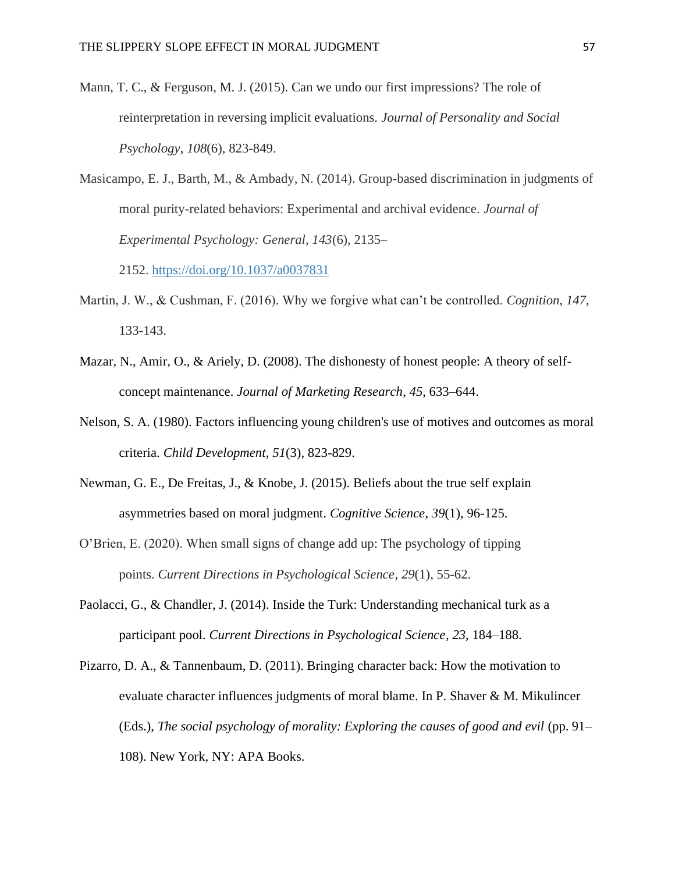- Mann, T. C., & Ferguson, M. J. (2015). Can we undo our first impressions? The role of reinterpretation in reversing implicit evaluations. *Journal of Personality and Social Psychology*, *108*(6), 823-849.
- Masicampo, E. J., Barth, M., & Ambady, N. (2014). Group-based discrimination in judgments of moral purity-related behaviors: Experimental and archival evidence. *Journal of Experimental Psychology: General, 143*(6), 2135–

2152. [https://doi.org/10.1037/a0037831](https://psycnet.apa.org/doi/10.1037/a0037831)

- Martin, J. W., & Cushman, F. (2016). Why we forgive what can't be controlled. *Cognition*, *147*, 133-143.
- Mazar, N., Amir, O., & Ariely, D. (2008). The dishonesty of honest people: A theory of selfconcept maintenance. *Journal of Marketing Research*, *45*, 633–644.
- Nelson, S. A. (1980). Factors influencing young children's use of motives and outcomes as moral criteria. *Child Development*, *51*(3), 823-829.
- Newman, G. E., De Freitas, J., & Knobe, J. (2015). Beliefs about the true self explain asymmetries based on moral judgment. *Cognitive Science*, *39*(1), 96-125.
- O'Brien, E. (2020). When small signs of change add up: The psychology of tipping points. *Current Directions in Psychological Science*, *29*(1), 55-62.
- Paolacci, G., & Chandler, J. (2014). Inside the Turk: Understanding mechanical turk as a participant pool. *Current Directions in Psychological Science*, *23*, 184–188.
- Pizarro, D. A., & Tannenbaum, D. (2011). Bringing character back: How the motivation to evaluate character influences judgments of moral blame. In P. Shaver & M. Mikulincer (Eds.), *The social psychology of morality: Exploring the causes of good and evil* (pp. 91– 108). New York, NY: APA Books.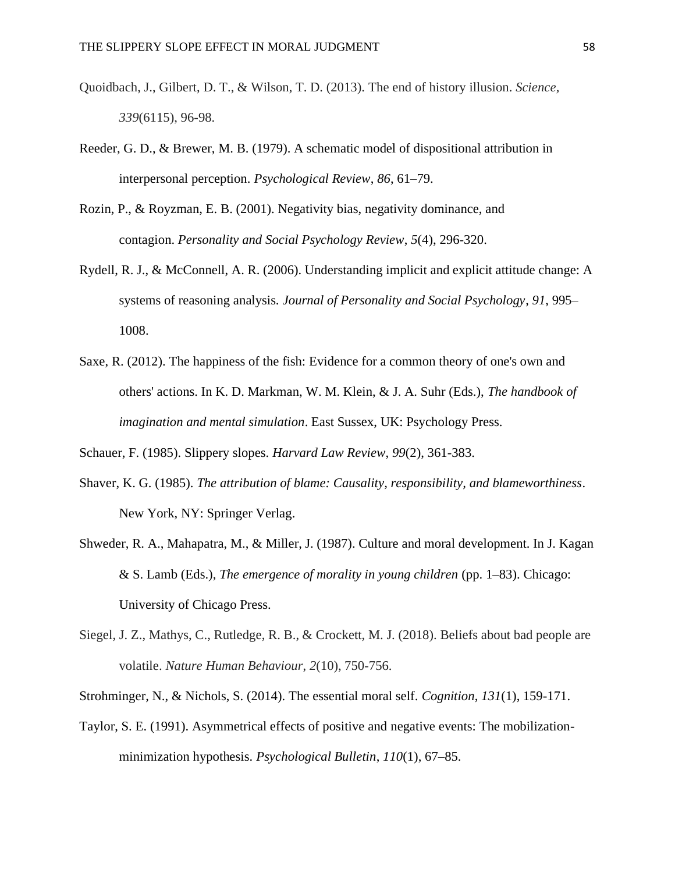- Quoidbach, J., Gilbert, D. T., & Wilson, T. D. (2013). The end of history illusion. *Science, 339*(6115), 96-98.
- Reeder, G. D., & Brewer, M. B. (1979). A schematic model of dispositional attribution in interpersonal perception. *Psychological Review*, *86*, 61–79.
- Rozin, P., & Royzman, E. B. (2001). Negativity bias, negativity dominance, and contagion. *Personality and Social Psychology Review*, *5*(4), 296-320.
- Rydell, R. J., & McConnell, A. R. (2006). Understanding implicit and explicit attitude change: A systems of reasoning analysis. *Journal of Personality and Social Psychology*, *91*, 995– 1008.
- Saxe, R. (2012). The happiness of the fish: Evidence for a common theory of one's own and others' actions. In K. D. Markman, W. M. Klein, & J. A. Suhr (Eds.), *The handbook of imagination and mental simulation*. East Sussex, UK: Psychology Press.

Schauer, F. (1985). Slippery slopes. *Harvard Law Review*, *99*(2), 361-383.

- Shaver, K. G. (1985). *The attribution of blame: Causality, responsibility, and blameworthiness*. New York, NY: Springer Verlag.
- Shweder, R. A., Mahapatra, M., & Miller, J. (1987). Culture and moral development. In J. Kagan & S. Lamb (Eds.), *The emergence of morality in young children* (pp. 1–83). Chicago: University of Chicago Press.
- Siegel, J. Z., Mathys, C., Rutledge, R. B., & Crockett, M. J. (2018). Beliefs about bad people are volatile. *Nature Human Behaviour*, *2*(10), 750-756.
- Strohminger, N., & Nichols, S. (2014). The essential moral self. *Cognition*, *131*(1), 159-171.
- Taylor, S. E. (1991). Asymmetrical effects of positive and negative events: The mobilizationminimization hypothesis. *Psychological Bulletin*, *110*(1), 67–85.